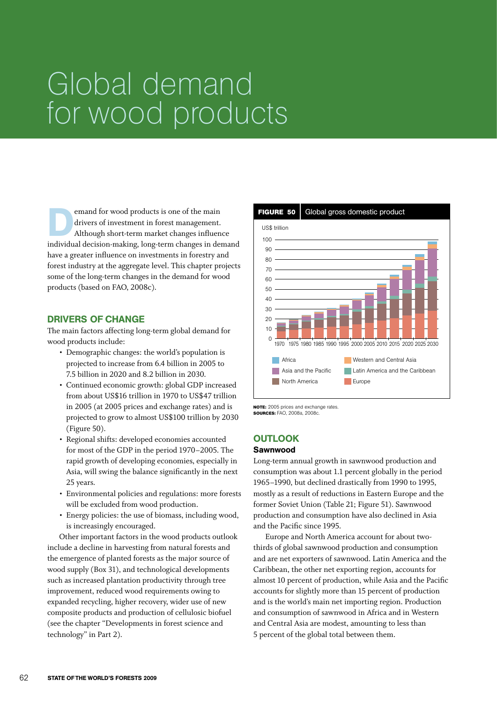## Global demand for wood products

emand for wood products is one of the main<br>drivers of investment in forest management.<br>Although short-term market changes influer drivers of investment in forest management. Although short-term market changes influence individual decision-making, long-term changes in demand have a greater influence on investments in forestry and forest industry at the aggregate level. This chapter projects some of the long-term changes in the demand for wood products (based on FAO, 2008c).

#### Drivers of change

The main factors affecting long-term global demand for wood products include:

- • Demographic changes: the world's population is projected to increase from 6.4 billion in 2005 to 7.5 billion in 2020 and 8.2 billion in 2030.
- • Continued economic growth: global GDP increased from about US\$16 trillion in 1970 to US\$47 trillion in 2005 (at 2005 prices and exchange rates) and is projected to grow to almost US\$100 trillion by 2030 (Figure 50).
- Regional shifts: developed economies accounted for most of the GDP in the period 1970–2005. The rapid growth of developing economies, especially in Asia, will swing the balance significantly in the next 25 years.
- Environmental policies and regulations: more forests will be excluded from wood production.
- • Energy policies: the use of biomass, including wood, is increasingly encouraged.

Other important factors in the wood products outlook include a decline in harvesting from natural forests and the emergence of planted forests as the major source of wood supply (Box 31), and technological developments such as increased plantation productivity through tree improvement, reduced wood requirements owing to expanded recycling, higher recovery, wider use of new composite products and production of cellulosic biofuel (see the chapter "Developments in forest science and technology" in Part 2).



**NOTE:** 2005 prices and exchange rates **Sources:** FAO, 2008a, 2008c.

## **OUTLOOK**

## Sawnwood

Long-term annual growth in sawnwood production and consumption was about 1.1 percent globally in the period 1965–1990, but declined drastically from 1990 to 1995, mostly as a result of reductions in Eastern Europe and the former Soviet Union (Table 21; Figure 51). Sawnwood production and consumption have also declined in Asia and the Pacific since 1995.

Europe and North America account for about twothirds of global sawnwood production and consumption and are net exporters of sawnwood. Latin America and the Caribbean, the other net exporting region, accounts for almost 10 percent of production, while Asia and the Pacific accounts for slightly more than 15 percent of production and is the world's main net importing region. Production and consumption of sawnwood in Africa and in Western and Central Asia are modest, amounting to less than 5 percent of the global total between them.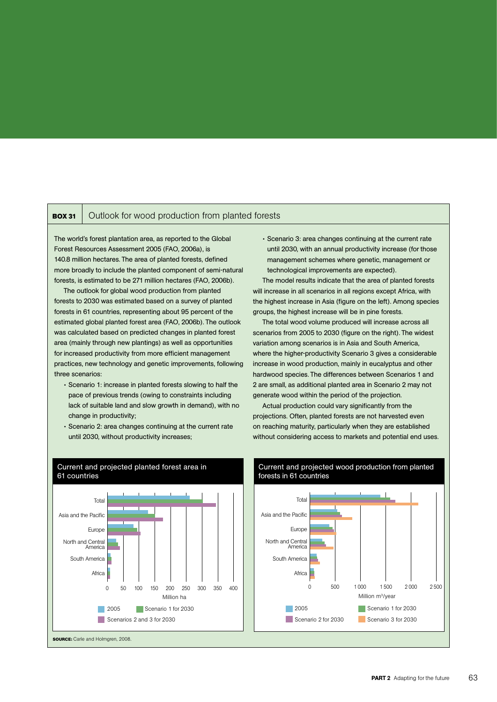#### **BOX 31** Outlook for wood production from planted forests

The world's forest plantation area, as reported to the Global Forest Resources Assessment 2005 (FAO, 2006a), is 140.8 million hectares. The area of planted forests, defined more broadly to include the planted component of semi-natural forests, is estimated to be 271 million hectares (FAO, 2006b).

The outlook for global wood production from planted forests to 2030 was estimated based on a survey of planted forests in 61 countries, representing about 95 percent of the estimated global planted forest area (FAO, 2006b). The outlook was calculated based on predicted changes in planted forest area (mainly through new plantings) as well as opportunities for increased productivity from more efficient management practices, new technology and genetic improvements, following three scenarios:

- • Scenario 1: increase in planted forests slowing to half the pace of previous trends (owing to constraints including lack of suitable land and slow growth in demand), with no change in productivity;
- • Scenario 2: area changes continuing at the current rate until 2030, without productivity increases;

• Scenario 3: area changes continuing at the current rate until 2030, with an annual productivity increase (for those management schemes where genetic, management or technological improvements are expected).

The model results indicate that the area of planted forests will increase in all scenarios in all regions except Africa, with the highest increase in Asia (figure on the left). Among species groups, the highest increase will be in pine forests.

The total wood volume produced will increase across all scenarios from 2005 to 2030 (figure on the right). The widest variation among scenarios is in Asia and South America, where the higher-productivity Scenario 3 gives a considerable increase in wood production, mainly in eucalyptus and other hardwood species. The differences between Scenarios 1 and 2 are small, as additional planted area in Scenario 2 may not generate wood within the period of the projection.

Actual production could vary significantly from the projections. Often, planted forests are not harvested even on reaching maturity, particularly when they are established without considering access to markets and potential end uses.





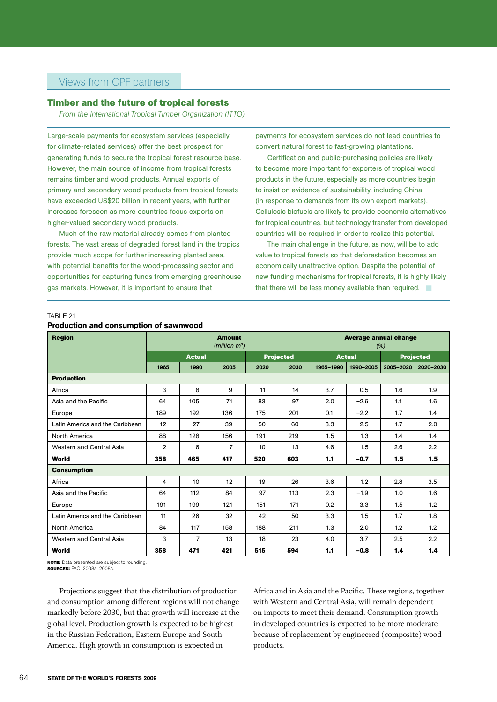#### **Timber and the future of tropical forests**

*From the International Tropical Timber Organization (ITTO)*

Large-scale payments for ecosystem services (especially for climate-related services) offer the best prospect for generating funds to secure the tropical forest resource base. However, the main source of income from tropical forests remains timber and wood products. Annual exports of primary and secondary wood products from tropical forests have exceeded US\$20 billion in recent years, with further increases foreseen as more countries focus exports on higher-valued secondary wood products.

Much of the raw material already comes from planted forests. The vast areas of degraded forest land in the tropics provide much scope for further increasing planted area, with potential benefits for the wood-processing sector and opportunities for capturing funds from emerging greenhouse gas markets. However, it is important to ensure that

payments for ecosystem services do not lead countries to convert natural forest to fast-growing plantations.

Certification and public-purchasing policies are likely to become more important for exporters of tropical wood products in the future, especially as more countries begin to insist on evidence of sustainability, including China (in response to demands from its own export markets). Cellulosic biofuels are likely to provide economic alternatives for tropical countries, but technology transfer from developed countries will be required in order to realize this potential.

The main challenge in the future, as now, will be to add value to tropical forests so that deforestation becomes an economically unattractive option. Despite the potential of new funding mechanisms for tropical forests, it is highly likely that there will be less money available than required.

#### TABLE 21

| . .ouuvuon and oonsampuon or sammood |                                   |                |                |      |                  |                                     |           |           |                  |
|--------------------------------------|-----------------------------------|----------------|----------------|------|------------------|-------------------------------------|-----------|-----------|------------------|
| <b>Region</b>                        | <b>Amount</b><br>(million $m^3$ ) |                |                |      |                  | <b>Average annual change</b><br>(%) |           |           |                  |
|                                      |                                   |                |                |      |                  |                                     |           |           |                  |
|                                      |                                   | <b>Actual</b>  |                |      | <b>Projected</b> | <b>Actual</b>                       |           |           | <b>Projected</b> |
|                                      | 1965                              | 1990           | 2005           | 2020 | 2030             | 1965-1990                           | 1990-2005 | 2005-2020 | 2020-2030        |
| <b>Production</b>                    |                                   |                |                |      |                  |                                     |           |           |                  |
| Africa                               | 3                                 | 8              | 9              | 11   | 14               | 3.7                                 | 0.5       | 1.6       | 1.9              |
| Asia and the Pacific                 | 64                                | 105            | 71             | 83   | 97               | 2.0                                 | $-2.6$    | 1.1       | 1.6              |
| Europe                               | 189                               | 192            | 136            | 175  | 201              | 0.1                                 | $-2.2$    | 1.7       | 1.4              |
| Latin America and the Caribbean      | 12                                | 27             | 39             | 50   | 60               | 3.3                                 | 2.5       | 1.7       | 2.0              |
| North America                        | 88                                | 128            | 156            | 191  | 219              | 1.5                                 | 1.3       | 1.4       | 1.4              |
| Western and Central Asia             | $\overline{2}$                    | 6              | $\overline{7}$ | 10   | 13               | 4.6                                 | 1.5       | 2.6       | 2.2              |
| World                                | 358                               | 465            | 417            | 520  | 603              | 1.1                                 | $-0.7$    | 1.5       | 1.5              |
| <b>Consumption</b>                   |                                   |                |                |      |                  |                                     |           |           |                  |
| Africa                               | 4                                 | 10             | 12             | 19   | 26               | 3.6                                 | 1.2       | 2.8       | 3.5              |
| Asia and the Pacific                 | 64                                | 112            | 84             | 97   | 113              | 2.3                                 | $-1.9$    | 1.0       | 1.6              |
| Europe                               | 191                               | 199            | 121            | 151  | 171              | 0.2                                 | $-3.3$    | 1.5       | 1.2              |
| Latin America and the Caribbean      | 11                                | 26             | 32             | 42   | 50               | 3.3                                 | 1.5       | 1.7       | 1.8              |
| North America                        | 84                                | 117            | 158            | 188  | 211              | 1.3                                 | 2.0       | 1.2       | 1.2              |
| Western and Central Asia             | 3                                 | $\overline{7}$ | 13             | 18   | 23               | 4.0                                 | 3.7       | 2.5       | 2.2              |
| World                                | 358                               | 471            | 421            | 515  | 594              | 1.1                                 | $-0.8$    | 1.4       | 1.4              |

Production and consumption of sawnwood

**NOTE:** Data presented are subject to rounding. **sources:** FAO, 2008a, 2008c.

Projections suggest that the distribution of production and consumption among different regions will not change markedly before 2030, but that growth will increase at the global level. Production growth is expected to be highest in the Russian Federation, Eastern Europe and South America. High growth in consumption is expected in

Africa and in Asia and the Pacific. These regions, together with Western and Central Asia, will remain dependent on imports to meet their demand. Consumption growth in developed countries is expected to be more moderate because of replacement by engineered (composite) wood products.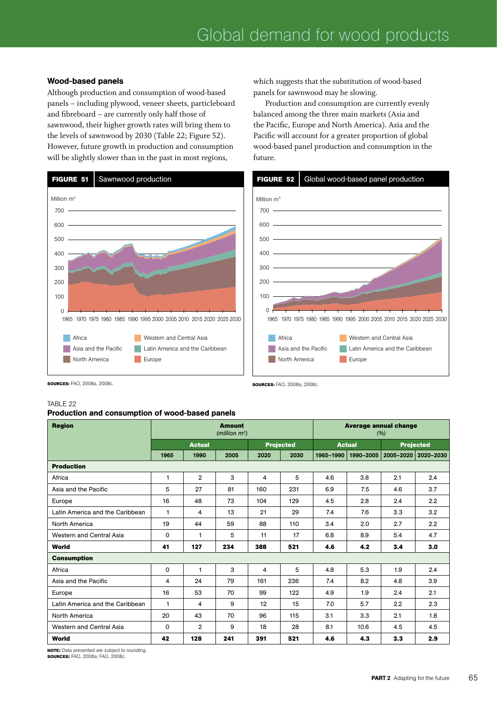#### Wood-based panels

Although production and consumption of wood-based panels – including plywood, veneer sheets, particleboard and fibreboard – are currently only half those of sawnwood, their higher growth rates will bring them to the levels of sawnwood by 2030 (Table 22; Figure 52). However, future growth in production and consumption will be slightly slower than in the past in most regions,



which suggests that the substitution of wood-based panels for sawnwood may be slowing.

Production and consumption are currently evenly balanced among the three main markets (Asia and the Pacific, Europe and North America). Asia and the Pacific will account for a greater proportion of global wood-based panel production and consumption in the future.



**Sources:** FAO, 2008a, 2008c.

**Sources:** FAO, 2008a, 2008c.

#### TARI F 22

#### Production and consumption of wood-based panels

| <b>Region</b>                   | <b>Amount</b><br>(million $m^3$ ) |                |      |      |                  | <b>Average annual change</b><br>(%) |               |     |                     |
|---------------------------------|-----------------------------------|----------------|------|------|------------------|-------------------------------------|---------------|-----|---------------------|
|                                 |                                   | <b>Actual</b>  |      |      | <b>Projected</b> |                                     | <b>Actual</b> |     | <b>Projected</b>    |
|                                 | 1965                              | 1990           | 2005 | 2020 | 2030             | 1965-1990                           | 1990-2005     |     | 2005-2020 2020-2030 |
| <b>Production</b>               |                                   |                |      |      |                  |                                     |               |     |                     |
| Africa                          | 1                                 | $\overline{2}$ | 3    | 4    | 5                | 4.6                                 | 3.8           | 2.1 | 2.4                 |
| Asia and the Pacific            | 5                                 | 27             | 81   | 160  | 231              | 6.9                                 | 7.5           | 4.6 | 3.7                 |
| Europe                          | 16                                | 48             | 73   | 104  | 129              | 4.5                                 | 2.8           | 2.4 | 2.2                 |
| Latin America and the Caribbean | 1                                 | 4              | 13   | 21   | 29               | 7.4                                 | 7.6           | 3.3 | 3.2                 |
| North America                   | 19                                | 44             | 59   | 88   | 110              | 3.4                                 | 2.0           | 2.7 | 2.2                 |
| Western and Central Asia        | 0                                 | 1              | 5    | 11   | 17               | 6.8                                 | 8.9           | 5.4 | 4.7                 |
| World                           | 41                                | 127            | 234  | 388  | 521              | 4.6                                 | 4.2           | 3.4 | 3.0                 |
| <b>Consumption</b>              |                                   |                |      |      |                  |                                     |               |     |                     |
| Africa                          | 0                                 | $\mathbf{1}$   | 3    | 4    | 5                | 4.8                                 | 5.3           | 1.9 | 2.4                 |
| Asia and the Pacific            | 4                                 | 24             | 79   | 161  | 236              | 7.4                                 | 8.2           | 4.8 | 3.9                 |
| Europe                          | 16                                | 53             | 70   | 99   | 122              | 4.9                                 | 1.9           | 2.4 | 2.1                 |
| Latin America and the Caribbean | 1                                 | 4              | 9    | 12   | 15               | 7.0                                 | 5.7           | 2.2 | 2.3                 |
| North America                   | 20                                | 43             | 70   | 96   | 115              | 3.1                                 | 3.3           | 2.1 | 1.8                 |
| Western and Central Asia        | 0                                 | $\overline{2}$ | 9    | 18   | 28               | 8.1                                 | 10.6          | 4.5 | 4.5                 |
| World                           | 42                                | 128            | 241  | 391  | 521              | 4.6                                 | 4.3           | 3.3 | 2.9                 |

**note:** Data presented are subject to rounding.

**sources:** FAO, 2008a; FAO, 2008c.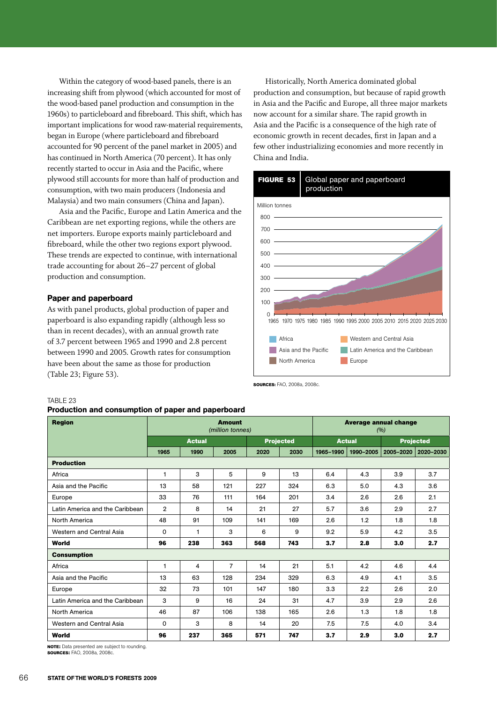Within the category of wood-based panels, there is an increasing shift from plywood (which accounted for most of the wood-based panel production and consumption in the 1960s) to particleboard and fibreboard. This shift, which has important implications for wood raw-material requirements, began in Europe (where particleboard and fibreboard accounted for 90 percent of the panel market in 2005) and has continued in North America (70 percent). It has only recently started to occur in Asia and the Pacific, where plywood still accounts for more than half of production and consumption, with two main producers (Indonesia and Malaysia) and two main consumers (China and Japan).

Asia and the Pacific, Europe and Latin America and the Caribbean are net exporting regions, while the others are net importers. Europe exports mainly particleboard and fibreboard, while the other two regions export plywood. These trends are expected to continue, with international trade accounting for about 26–27 percent of global production and consumption.

#### Paper and paperboard

As with panel products, global production of paper and paperboard is also expanding rapidly (although less so than in recent decades), with an annual growth rate of 3.7 percent between 1965 and 1990 and 2.8 percent between 1990 and 2005. Growth rates for consumption have been about the same as those for production (Table 23; Figure 53).

Historically, North America dominated global production and consumption, but because of rapid growth in Asia and the Pacific and Europe, all three major markets now account for a similar share. The rapid growth in Asia and the Pacific is a consequence of the high rate of economic growth in recent decades, first in Japan and a few other industrializing economies and more recently in China and India.



**Sources:** FAO, 2008a, 2008c.

#### TABLE 23

#### Production and consumption of paper and paperboard

| <b>Region</b>                   | <b>Amount</b><br>(million tonnes) |               |      |      |                  | <b>Average annual change</b><br>(%) |           |                  |                     |
|---------------------------------|-----------------------------------|---------------|------|------|------------------|-------------------------------------|-----------|------------------|---------------------|
|                                 |                                   | <b>Actual</b> |      |      | <b>Projected</b> | <b>Actual</b>                       |           | <b>Projected</b> |                     |
|                                 | 1965                              | 1990          | 2005 | 2020 | 2030             | 1965-1990                           | 1990-2005 |                  | 2005-2020 2020-2030 |
| <b>Production</b>               |                                   |               |      |      |                  |                                     |           |                  |                     |
| Africa                          | 1                                 | 3             | 5    | 9    | 13               | 6.4                                 | 4.3       | 3.9              | 3.7                 |
| Asia and the Pacific            | 13                                | 58            | 121  | 227  | 324              | 6.3                                 | 5.0       | 4.3              | 3.6                 |
| Europe                          | 33                                | 76            | 111  | 164  | 201              | 3.4                                 | 2.6       | 2.6              | 2.1                 |
| Latin America and the Caribbean | $\overline{2}$                    | 8             | 14   | 21   | 27               | 5.7                                 | 3.6       | 2.9              | 2.7                 |
| North America                   | 48                                | 91            | 109  | 141  | 169              | 2.6                                 | 1.2       | 1.8              | 1.8                 |
| Western and Central Asia        | 0                                 | 1             | 3    | 6    | 9                | 9.2                                 | 5.9       | 4.2              | 3.5                 |
| <b>World</b>                    | 96                                | 238           | 363  | 568  | 743              | 3.7                                 | 2.8       | 3.0              | 2.7                 |
| <b>Consumption</b>              |                                   |               |      |      |                  |                                     |           |                  |                     |
| Africa                          | 1                                 | 4             | 7    | 14   | 21               | 5.1                                 | 4.2       | 4.6              | 4.4                 |
| Asia and the Pacific            | 13                                | 63            | 128  | 234  | 329              | 6.3                                 | 4.9       | 4.1              | 3.5                 |
| Europe                          | 32                                | 73            | 101  | 147  | 180              | 3.3                                 | 2.2       | 2.6              | 2.0                 |
| Latin America and the Caribbean | 3                                 | 9             | 16   | 24   | 31               | 4.7                                 | 3.9       | 2.9              | 2.6                 |
| North America                   | 46                                | 87            | 106  | 138  | 165              | 2.6                                 | 1.3       | 1.8              | 1.8                 |
| Western and Central Asia        | 0                                 | 3             | 8    | 14   | 20               | 7.5                                 | 7.5       | 4.0              | 3.4                 |
| World                           | 96                                | 237           | 365  | 571  | 747              | 3.7                                 | 2.9       | 3.0              | 2.7                 |

**note:** Data presented are subject to rounding.

**sources:** FAO, 2008a, 2008c.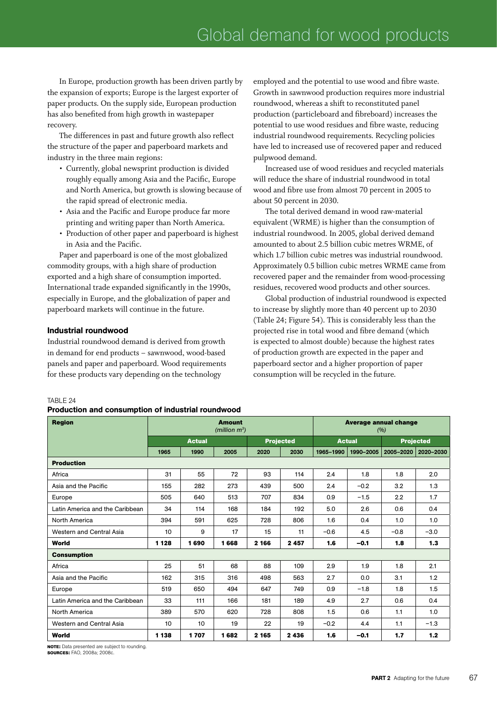## Global demand for wood products

In Europe, production growth has been driven partly by the expansion of exports; Europe is the largest exporter of paper products. On the supply side, European production has also benefited from high growth in wastepaper recovery.

The differences in past and future growth also reflect the structure of the paper and paperboard markets and industry in the three main regions:

- • Currently, global newsprint production is divided roughly equally among Asia and the Pacific, Europe and North America, but growth is slowing because of the rapid spread of electronic media.
- • Asia and the Pacific and Europe produce far more printing and writing paper than North America.
- Production of other paper and paperboard is highest in Asia and the Pacific.

Paper and paperboard is one of the most globalized commodity groups, with a high share of production exported and a high share of consumption imported. International trade expanded significantly in the 1990s, especially in Europe, and the globalization of paper and paperboard markets will continue in the future.

#### Industrial roundwood

Industrial roundwood demand is derived from growth in demand for end products – sawnwood, wood-based panels and paper and paperboard. Wood requirements for these products vary depending on the technology

employed and the potential to use wood and fibre waste. Growth in sawnwood production requires more industrial roundwood, whereas a shift to reconstituted panel production (particleboard and fibreboard) increases the potential to use wood residues and fibre waste, reducing industrial roundwood requirements. Recycling policies have led to increased use of recovered paper and reduced pulpwood demand.

Increased use of wood residues and recycled materials will reduce the share of industrial roundwood in total wood and fibre use from almost 70 percent in 2005 to about 50 percent in 2030.

The total derived demand in wood raw-material equivalent (WRME) is higher than the consumption of industrial roundwood. In 2005, global derived demand amounted to about 2.5 billion cubic metres WRME, of which 1.7 billion cubic metres was industrial roundwood. Approximately 0.5 billion cubic metres WRME came from recovered paper and the remainder from wood-processing residues, recovered wood products and other sources.

Global production of industrial roundwood is expected to increase by slightly more than 40 percent up to 2030 (Table 24; Figure 54). This is considerably less than the projected rise in total wood and fibre demand (which is expected to almost double) because the highest rates of production growth are expected in the paper and paperboard sector and a higher proportion of paper consumption will be recycled in the future.

#### TABLE 24

#### Production and consumption of industrial roundwood

| <b>Region</b>                   | <b>Amount</b><br>(million $m^3$ ) |               |      |         |                  | <b>Average annual change</b><br>(%) |               |                  |           |
|---------------------------------|-----------------------------------|---------------|------|---------|------------------|-------------------------------------|---------------|------------------|-----------|
|                                 |                                   | <b>Actual</b> |      |         | <b>Projected</b> |                                     | <b>Actual</b> | <b>Projected</b> |           |
|                                 | 1965                              | 1990          | 2005 | 2020    | 2030             | 1965-1990                           | 1990-2005     | 2005-2020        | 2020-2030 |
| <b>Production</b>               |                                   |               |      |         |                  |                                     |               |                  |           |
| Africa                          | 31                                | 55            | 72   | 93      | 114              | 2.4                                 | 1.8           | 1.8              | 2.0       |
| Asia and the Pacific            | 155                               | 282           | 273  | 439     | 500              | 2.4                                 | $-0.2$        | 3.2              | 1.3       |
| Europe                          | 505                               | 640           | 513  | 707     | 834              | 0.9                                 | $-1.5$        | 2.2              | 1.7       |
| Latin America and the Caribbean | 34                                | 114           | 168  | 184     | 192              | 5.0                                 | 2.6           | 0.6              | 0.4       |
| North America                   | 394                               | 591           | 625  | 728     | 806              | 1.6                                 | 0.4           | 1.0              | 1.0       |
| Western and Central Asia        | 10                                | 9             | 17   | 15      | 11               | $-0.6$                              | 4.5           | $-0.8$           | $-3.0$    |
| <b>World</b>                    | 1 1 2 8                           | 1690          | 1668 | 2 1 6 6 | 2 4 5 7          | 1.6                                 | $-0.1$        | 1.8              | 1.3       |
| <b>Consumption</b>              |                                   |               |      |         |                  |                                     |               |                  |           |
| Africa                          | 25                                | 51            | 68   | 88      | 109              | 2.9                                 | 1.9           | 1.8              | 2.1       |
| Asia and the Pacific            | 162                               | 315           | 316  | 498     | 563              | 2.7                                 | 0.0           | 3.1              | 1.2       |
| Europe                          | 519                               | 650           | 494  | 647     | 749              | 0.9                                 | $-1.8$        | 1.8              | 1.5       |
| Latin America and the Caribbean | 33                                | 111           | 166  | 181     | 189              | 4.9                                 | 2.7           | 0.6              | 0.4       |
| North America                   | 389                               | 570           | 620  | 728     | 808              | 1.5                                 | 0.6           | 1.1              | 1.0       |
| Western and Central Asia        | 10                                | 10            | 19   | 22      | 19               | $-0.2$                              | 4.4           | 1.1              | $-1.3$    |
| World                           | 1 1 3 8                           | 1707          | 1682 | 2 1 6 5 | 2436             | 1.6                                 | $-0.1$        | 1.7              | $1.2$     |

**NOTE:** Data presented are subject to rounding. **sources:** FAO, 2008a; 2008c.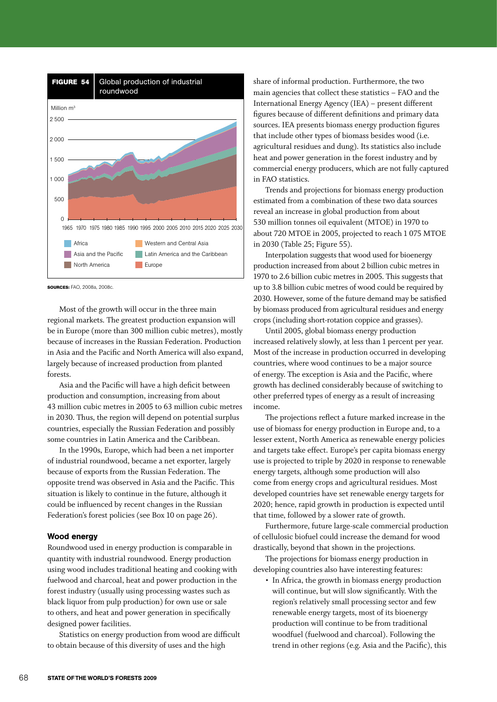

**Sources:** FAO, 2008a, 2008c.

Most of the growth will occur in the three main regional markets. The greatest production expansion will be in Europe (more than 300 million cubic metres), mostly because of increases in the Russian Federation. Production in Asia and the Pacific and North America will also expand, largely because of increased production from planted forests.

Asia and the Pacific will have a high deficit between production and consumption, increasing from about 43 million cubic metres in 2005 to 63 million cubic metres in 2030. Thus, the region will depend on potential surplus countries, especially the Russian Federation and possibly some countries in Latin America and the Caribbean.

In the 1990s, Europe, which had been a net importer of industrial roundwood, became a net exporter, largely because of exports from the Russian Federation. The opposite trend was observed in Asia and the Pacific. This situation is likely to continue in the future, although it could be influenced by recent changes in the Russian Federation's forest policies (see Box 10 on page 26).

#### Wood energy

Roundwood used in energy production is comparable in quantity with industrial roundwood. Energy production using wood includes traditional heating and cooking with fuelwood and charcoal, heat and power production in the forest industry (usually using processing wastes such as black liquor from pulp production) for own use or sale to others, and heat and power generation in specifically designed power facilities.

Statistics on energy production from wood are difficult to obtain because of this diversity of uses and the high

share of informal production. Furthermore, the two main agencies that collect these statistics – FAO and the International Energy Agency (IEA) – present different figures because of different definitions and primary data sources. IEA presents biomass energy production figures that include other types of biomass besides wood (i.e. agricultural residues and dung). Its statistics also include heat and power generation in the forest industry and by commercial energy producers, which are not fully captured in FAO statistics.

Trends and projections for biomass energy production estimated from a combination of these two data sources reveal an increase in global production from about 530 million tonnes oil equivalent (MTOE) in 1970 to about 720 MTOE in 2005, projected to reach 1 075 MTOE in 2030 (Table 25; Figure 55).

Interpolation suggests that wood used for bioenergy production increased from about 2 billion cubic metres in 1970 to 2.6 billion cubic metres in 2005. This suggests that up to 3.8 billion cubic metres of wood could be required by 2030. However, some of the future demand may be satisfied by biomass produced from agricultural residues and energy crops (including short-rotation coppice and grasses).

Until 2005, global biomass energy production increased relatively slowly, at less than 1 percent per year. Most of the increase in production occurred in developing countries, where wood continues to be a major source of energy. The exception is Asia and the Pacific, where growth has declined considerably because of switching to other preferred types of energy as a result of increasing income.

The projections reflect a future marked increase in the use of biomass for energy production in Europe and, to a lesser extent, North America as renewable energy policies and targets take effect. Europe's per capita biomass energy use is projected to triple by 2020 in response to renewable energy targets, although some production will also come from energy crops and agricultural residues. Most developed countries have set renewable energy targets for 2020; hence, rapid growth in production is expected until that time, followed by a slower rate of growth.

Furthermore, future large-scale commercial production of cellulosic biofuel could increase the demand for wood drastically, beyond that shown in the projections.

The projections for biomass energy production in developing countries also have interesting features:

• In Africa, the growth in biomass energy production will continue, but will slow significantly. With the region's relatively small processing sector and few renewable energy targets, most of its bioenergy production will continue to be from traditional woodfuel (fuelwood and charcoal). Following the trend in other regions (e.g. Asia and the Pacific), this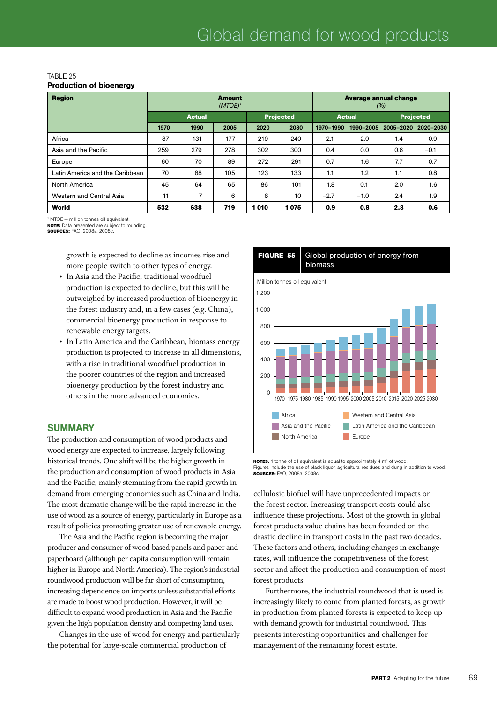TABLE 25

Production of bioenergy

| <b>Region</b>                   |      |               | <b>Amount</b><br>$(MTOE)^{1}$ |                  | <b>Average annual change</b><br>(%) |               |           |                  |           |
|---------------------------------|------|---------------|-------------------------------|------------------|-------------------------------------|---------------|-----------|------------------|-----------|
|                                 |      | <b>Actual</b> |                               | <b>Projected</b> |                                     | <b>Actual</b> |           | <b>Projected</b> |           |
|                                 | 1970 | 1990          | 2005                          | 2020             | 2030                                | 1970-1990     | 1990-2005 | 2005-2020        | 2020-2030 |
| Africa                          | 87   | 131           | 177                           | 219              | 240                                 | 2.1           | 2.0       | 1.4              | 0.9       |
| Asia and the Pacific            | 259  | 279           | 278                           | 302              | 300                                 | 0.4           | 0.0       | 0.6              | $-0.1$    |
| Europe                          | 60   | 70            | 89                            | 272              | 291                                 | 0.7           | 1.6       | 7.7              | 0.7       |
| Latin America and the Caribbean | 70   | 88            | 105                           | 123              | 133                                 | 1.1           | 1.2       | 1.1              | 0.8       |
| North America                   | 45   | 64            | 65                            | 86               | 101                                 | 1.8           | 0.1       | 2.0              | 1.6       |
| Western and Central Asia        | 11   | 7             | 6                             | 8                | 10                                  | $-2.7$        | $-1.0$    | 2.4              | 1.9       |
| World                           | 532  | 638           | 719                           | 010              | 1075                                | 0.9           | 0.8       | 2.3              | 0.6       |

1 MTOE = million tonnes oil equivalent.

**note:** Data presented are subject to rounding.

**sources:** FAO, 2008a, 2008c.

growth is expected to decline as incomes rise and more people switch to other types of energy.

- In Asia and the Pacific, traditional woodfuel production is expected to decline, but this will be outweighed by increased production of bioenergy in the forest industry and, in a few cases (e.g. China), commercial bioenergy production in response to renewable energy targets.
- In Latin America and the Caribbean, biomass energy production is projected to increase in all dimensions, with a rise in traditional woodfuel production in the poorer countries of the region and increased bioenergy production by the forest industry and others in the more advanced economies.

#### **SUMMARY**

The production and consumption of wood products and wood energy are expected to increase, largely following historical trends. One shift will be the higher growth in the production and consumption of wood products in Asia and the Pacific, mainly stemming from the rapid growth in demand from emerging economies such as China and India. The most dramatic change will be the rapid increase in the use of wood as a source of energy, particularly in Europe as a result of policies promoting greater use of renewable energy.

The Asia and the Pacific region is becoming the major producer and consumer of wood-based panels and paper and paperboard (although per capita consumption will remain higher in Europe and North America). The region's industrial roundwood production will be far short of consumption, increasing dependence on imports unless substantial efforts are made to boost wood production. However, it will be difficult to expand wood production in Asia and the Pacific given the high population density and competing land uses.

Changes in the use of wood for energy and particularly the potential for large-scale commercial production of



**NOTES:** 1 tonne of oil equivalent is equal to approximately 4 m<sup>3</sup> of wood. Figures include the use of black liquor, agricultural residues and dung in addition to wood. **Sources:** FAO, 2008a, 2008c.

cellulosic biofuel will have unprecedented impacts on the forest sector. Increasing transport costs could also influence these projections. Most of the growth in global forest products value chains has been founded on the drastic decline in transport costs in the past two decades. These factors and others, including changes in exchange rates, will influence the competitiveness of the forest sector and affect the production and consumption of most forest products.

Furthermore, the industrial roundwood that is used is increasingly likely to come from planted forests, as growth in production from planted forests is expected to keep up with demand growth for industrial roundwood. This presents interesting opportunities and challenges for management of the remaining forest estate.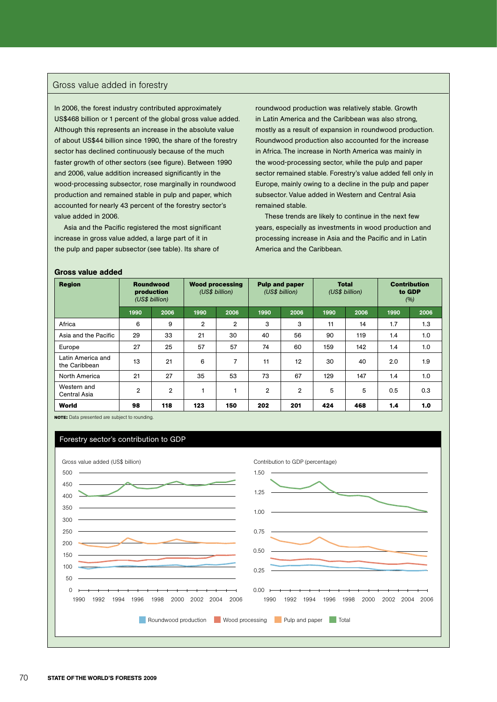#### Gross value added in forestry

In 2006, the forest industry contributed approximately US\$468 billion or 1 percent of the global gross value added. Although this represents an increase in the absolute value of about US\$44 billion since 1990, the share of the forestry sector has declined continuously because of the much faster growth of other sectors (see figure). Between 1990 and 2006, value addition increased significantly in the wood-processing subsector, rose marginally in roundwood production and remained stable in pulp and paper, which accounted for nearly 43 percent of the forestry sector's value added in 2006.

Asia and the Pacific registered the most significant increase in gross value added, a large part of it in the pulp and paper subsector (see table). Its share of

roundwood production was relatively stable. Growth in Latin America and the Caribbean was also strong, mostly as a result of expansion in roundwood production. Roundwood production also accounted for the increase in Africa. The increase in North America was mainly in the wood-processing sector, while the pulp and paper sector remained stable. Forestry's value added fell only in Europe, mainly owing to a decline in the pulp and paper subsector. Value added in Western and Central Asia remained stable.

These trends are likely to continue in the next few years, especially as investments in wood production and processing increase in Asia and the Pacific and in Latin America and the Caribbean.

| <b>Region</b><br><b>Roundwood</b><br>production<br>(US\$ billion) |                | <b>Wood processing</b><br>(US\$ billion) |      | <b>Pulp and paper</b><br>(US\$ billion) |                | <b>Total</b><br>(US\$ billion) |      | <b>Contribution</b><br>to GDP<br>(%) |      |      |
|-------------------------------------------------------------------|----------------|------------------------------------------|------|-----------------------------------------|----------------|--------------------------------|------|--------------------------------------|------|------|
|                                                                   | 1990           | 2006                                     | 1990 | 2006                                    | 1990           | 2006                           | 1990 | 2006                                 | 1990 | 2006 |
| Africa                                                            | 6              | 9                                        | 2    | $\overline{2}$                          | 3              | 3                              | 11   | 14                                   | 1.7  | 1.3  |
| Asia and the Pacific                                              | 29             | 33                                       | 21   | 30                                      | 40             | 56                             | 90   | 119                                  | 1.4  | 1.0  |
| Europe                                                            | 27             | 25                                       | 57   | 57                                      | 74             | 60                             | 159  | 142                                  | 1.4  | 1.0  |
| Latin America and<br>the Caribbean                                | 13             | 21                                       | 6    | 7                                       | 11             | 12                             | 30   | 40                                   | 2.0  | 1.9  |
| North America                                                     | 21             | 27                                       | 35   | 53                                      | 73             | 67                             | 129  | 147                                  | 1.4  | 1.0  |
| Western and<br>Central Asia                                       | $\overline{2}$ | $\overline{2}$                           |      |                                         | $\overline{2}$ | $\overline{2}$                 | 5    | 5                                    | 0.5  | 0.3  |
| World                                                             | 98             | 118                                      | 123  | 150                                     | 202            | 201                            | 424  | 468                                  | 1.4  | 1.0  |

#### Gross value added

**NOTE:** Data presented are subject to rounding.

#### Forestry sector's contribution to GDP

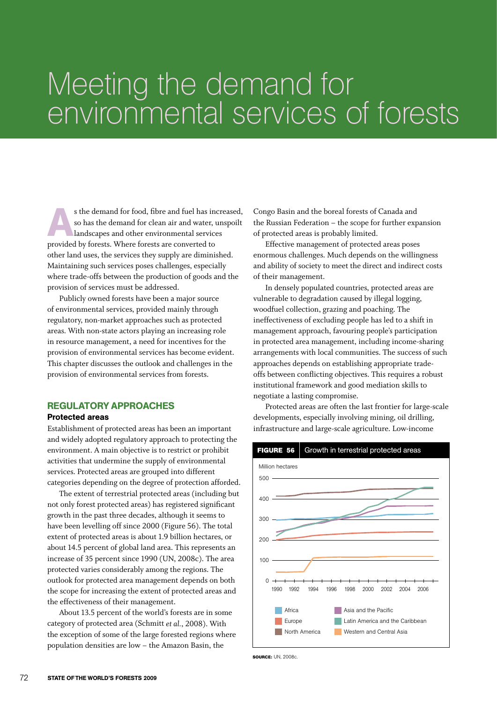## Meeting the demand for environmental services of forests

s the demand for food, fibre and fuel has increased, so has the demand for clean air and water, unspoilt landscapes and other environmental services provided by forests. Where forests are converted to other land uses, the services they supply are diminished. Maintaining such services poses challenges, especially where trade-offs between the production of goods and the provision of services must be addressed.

Publicly owned forests have been a major source of environmental services, provided mainly through regulatory, non-market approaches such as protected areas. With non-state actors playing an increasing role in resource management, a need for incentives for the provision of environmental services has become evident. This chapter discusses the outlook and challenges in the provision of environmental services from forests.

#### Regulatory approaches Protected areas

Establishment of protected areas has been an important and widely adopted regulatory approach to protecting the environment. A main objective is to restrict or prohibit activities that undermine the supply of environmental services. Protected areas are grouped into different categories depending on the degree of protection afforded.

The extent of terrestrial protected areas (including but not only forest protected areas) has registered significant growth in the past three decades, although it seems to have been levelling off since 2000 (Figure 56). The total extent of protected areas is about 1.9 billion hectares, or about 14.5 percent of global land area. This represents an increase of 35 percent since 1990 (UN, 2008c). The area protected varies considerably among the regions. The outlook for protected area management depends on both the scope for increasing the extent of protected areas and the effectiveness of their management.

About 13.5 percent of the world's forests are in some category of protected area (Schmitt *et al.*, 2008). With the exception of some of the large forested regions where population densities are low – the Amazon Basin, the

Congo Basin and the boreal forests of Canada and the Russian Federation – the scope for further expansion of protected areas is probably limited.

Effective management of protected areas poses enormous challenges. Much depends on the willingness and ability of society to meet the direct and indirect costs of their management.

In densely populated countries, protected areas are vulnerable to degradation caused by illegal logging, woodfuel collection, grazing and poaching. The ineffectiveness of excluding people has led to a shift in management approach, favouring people's participation in protected area management, including income-sharing arrangements with local communities. The success of such approaches depends on establishing appropriate tradeoffs between conflicting objectives. This requires a robust institutional framework and good mediation skills to negotiate a lasting compromise.

Protected areas are often the last frontier for large-scale developments, especially involving mining, oil drilling, infrastructure and large-scale agriculture. Low-income



**Source:** UN, 2008c.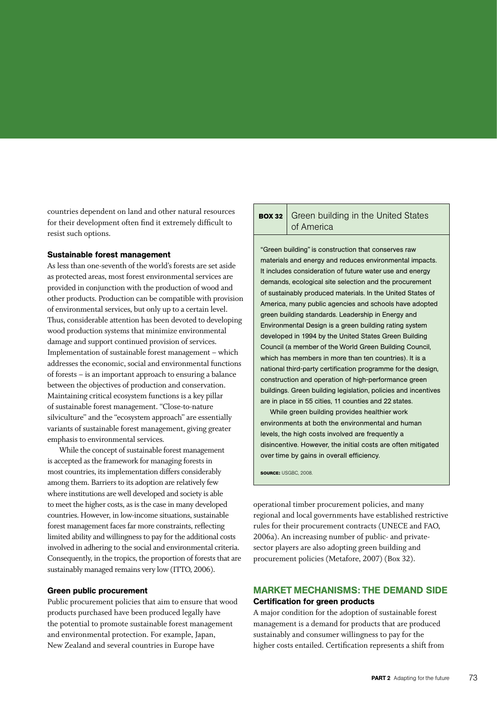countries dependent on land and other natural resources for their development often find it extremely difficult to resist such options.

#### Sustainable forest management

As less than one-seventh of the world's forests are set aside as protected areas, most forest environmental services are provided in conjunction with the production of wood and other products. Production can be compatible with provision of environmental services, but only up to a certain level. Thus, considerable attention has been devoted to developing wood production systems that minimize environmental damage and support continued provision of services. Implementation of sustainable forest management – which addresses the economic, social and environmental functions of forests – is an important approach to ensuring a balance between the objectives of production and conservation. Maintaining critical ecosystem functions is a key pillar of sustainable forest management. "Close-to-nature silviculture" and the "ecosystem approach" are essentially variants of sustainable forest management, giving greater emphasis to environmental services.

While the concept of sustainable forest management is accepted as the framework for managing forests in most countries, its implementation differs considerably among them. Barriers to its adoption are relatively few where institutions are well developed and society is able to meet the higher costs, as is the case in many developed countries. However, in low-income situations, sustainable forest management faces far more constraints, reflecting limited ability and willingness to pay for the additional costs involved in adhering to the social and environmental criteria. Consequently, in the tropics, the proportion of forests that are sustainably managed remains very low (ITTO, 2006).

#### Green public procurement

Public procurement policies that aim to ensure that wood products purchased have been produced legally have the potential to promote sustainable forest management and environmental protection. For example, Japan, New Zealand and several countries in Europe have

#### **BOX 32** Green building in the United States of America

"Green building" is construction that conserves raw materials and energy and reduces environmental impacts. It includes consideration of future water use and energy demands, ecological site selection and the procurement of sustainably produced materials. In the United States of America, many public agencies and schools have adopted green building standards. Leadership in Energy and Environmental Design is a green building rating system developed in 1994 by the United States Green Building Council (a member of the World Green Building Council, which has members in more than ten countries). It is a national third-party certification programme for the design, construction and operation of high-performance green buildings. Green building legislation, policies and incentives are in place in 55 cities, 11 counties and 22 states.

While green building provides healthier work environments at both the environmental and human levels, the high costs involved are frequently a disincentive. However, the initial costs are often mitigated over time by gains in overall efficiency.

**source:** USGBC, 2008.

operational timber procurement policies, and many regional and local governments have established restrictive rules for their procurement contracts (UNECE and FAO, 2006a). An increasing number of public- and privatesector players are also adopting green building and procurement policies (Metafore, 2007) (Box 32).

## Market mechanisms: the demand side Certification for green products

A major condition for the adoption of sustainable forest management is a demand for products that are produced sustainably and consumer willingness to pay for the higher costs entailed. Certification represents a shift from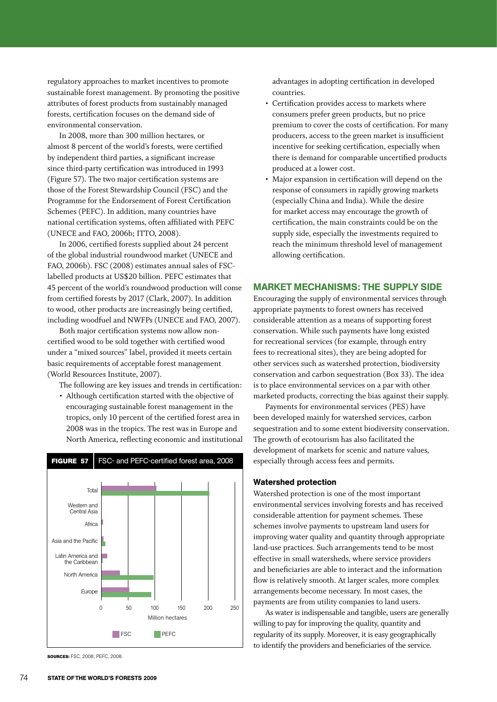regulatory approaches to market incentives to promote sustainable forest management. By promoting the positive attributes of forest products from sustainably managed forests, certification focuses on the demand side of environmental conservation.

In 2008, more than 300 million hectares, or almost 8 percent of the world's forests, were certified by independent third parties, a significant increase since third-party certification was introduced in 1993 (Figure 57). The two major certification systems are those of the Forest Stewardship Council (FSC) and the Programme for the Endorsement of Forest Certification Schemes (PEFC). In addition, many countries have national certification systems, often affiliated with PEFC (UNECE and FAO, 2006b; ITTO, 2008).

In 2006, certified forests supplied about 24 percent of the global industrial roundwood market (UNECE and FAO, 2006b). FSC (2008) estimates annual sales of FSClabelled products at US\$20 billion. PEFC estimates that 45 percent of the world's roundwood production will come from certified forests by 2017 (Clark, 2007). In addition to wood, other products are increasingly being certified, including woodfuel and NWFPs (UNECE and FAO, 2007).

Both major certification systems now allow noncertified wood to be sold together with certified wood under a "mixed sources" label, provided it meets certain basic requirements of acceptable forest management (World Resources Institute, 2007).

The following are key issues and trends in certification:

• Although certification started with the objective of encouraging sustainable forest management in the tropics, only 10 percent of the certified forest area in 2008 was in the tropics. The rest was in Europe and North America, reflecting economic and institutional



**Sources:** FSC, 2008; PEFC, 2008.

advantages in adopting certification in developed countries.

- Certification provides access to markets where consumers prefer green products, but no price premium to cover the costs of certification. For many producers, access to the green market is insufficient incentive for seeking certification, especially when there is demand for comparable uncertified products produced at a lower cost.
- Major expansion in certification will depend on the response of consumers in rapidly growing markets (especially China and India). While the desire for market access may encourage the growth of certification, the main constraints could be on the supply side, especially the investments required to reach the minimum threshold level of management allowing certification.

#### Market mechanisms: the supply side

Encouraging the supply of environmental services through appropriate payments to forest owners has received considerable attention as a means of supporting forest conservation. While such payments have long existed for recreational services (for example, through entry fees to recreational sites), they are being adopted for other services such as watershed protection, biodiversity conservation and carbon sequestration (Box 33). The idea is to place environmental services on a par with other marketed products, correcting the bias against their supply.

Payments for environmental services (PES) have been developed mainly for watershed services, carbon sequestration and to some extent biodiversity conservation. The growth of ecotourism has also facilitated the development of markets for scenic and nature values, especially through access fees and permits.

#### Watershed protection

Watershed protection is one of the most important environmental services involving forests and has received considerable attention for payment schemes. These schemes involve payments to upstream land users for improving water quality and quantity through appropriate land-use practices. Such arrangements tend to be most effective in small watersheds, where service providers and beneficiaries are able to interact and the information flow is relatively smooth. At larger scales, more complex arrangements become necessary. In most cases, the payments are from utility companies to land users.

As water is indispensable and tangible, users are generally willing to pay for improving the quality, quantity and regularity of its supply. Moreover, it is easy geographically to identify the providers and beneficiaries of the service.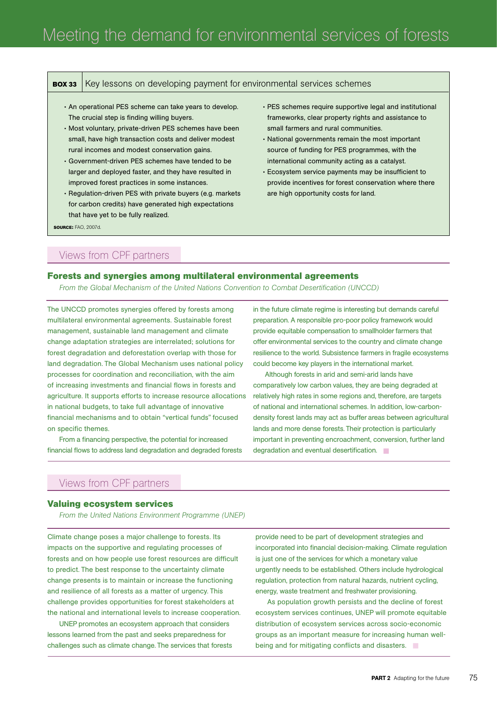#### **BOX 33** Key lessons on developing payment for environmental services schemes

- An operational PES scheme can take years to develop. The crucial step is finding willing buyers.
- • Most voluntary, private-driven PES schemes have been small, have high transaction costs and deliver modest rural incomes and modest conservation gains.
- • Government-driven PES schemes have tended to be larger and deployed faster, and they have resulted in improved forest practices in some instances.
- • Regulation-driven PES with private buyers (e.g. markets for carbon credits) have generated high expectations that have yet to be fully realized.

**source:** FAO, 2007d.

- PES schemes require supportive legal and institutional frameworks, clear property rights and assistance to small farmers and rural communities.
- • National governments remain the most important source of funding for PES programmes, with the international community acting as a catalyst.
- • Ecosystem service payments may be insufficient to provide incentives for forest conservation where there are high opportunity costs for land.

## Views from CPF partners

#### **Forests and synergies among multilateral environmental agreements**

*From the Global Mechanism of the United Nations Convention to Combat Desertification (UNCCD)*

The UNCCD promotes synergies offered by forests among multilateral environmental agreements. Sustainable forest management, sustainable land management and climate change adaptation strategies are interrelated; solutions for forest degradation and deforestation overlap with those for land degradation. The Global Mechanism uses national policy processes for coordination and reconciliation, with the aim of increasing investments and financial flows in forests and agriculture. It supports efforts to increase resource allocations in national budgets, to take full advantage of innovative financial mechanisms and to obtain "vertical funds" focused on specific themes.

From a financing perspective, the potential for increased financial flows to address land degradation and degraded forests

in the future climate regime is interesting but demands careful preparation. A responsible pro-poor policy framework would provide equitable compensation to smallholder farmers that offer environmental services to the country and climate change resilience to the world. Subsistence farmers in fragile ecosystems could become key players in the international market.

Although forests in arid and semi-arid lands have comparatively low carbon values, they are being degraded at relatively high rates in some regions and, therefore, are targets of national and international schemes. In addition, low-carbondensity forest lands may act as buffer areas between agricultural lands and more dense forests. Their protection is particularly important in preventing encroachment, conversion, further land degradation and eventual desertification.  $\Box$ 

## Views from CPF partners

#### **Valuing ecosystem services**

*From the United Nations Environment Programme (UNEP)*

Climate change poses a major challenge to forests. Its impacts on the supportive and regulating processes of forests and on how people use forest resources are difficult to predict. The best response to the uncertainty climate change presents is to maintain or increase the functioning and resilience of all forests as a matter of urgency. This challenge provides opportunities for forest stakeholders at the national and international levels to increase cooperation.

UNEP promotes an ecosystem approach that considers lessons learned from the past and seeks preparedness for challenges such as climate change. The services that forests provide need to be part of development strategies and incorporated into financial decision-making. Climate regulation is just one of the services for which a monetary value urgently needs to be established. Others include hydrological regulation, protection from natural hazards, nutrient cycling, energy, waste treatment and freshwater provisioning.

As population growth persists and the decline of forest ecosystem services continues, UNEP will promote equitable distribution of ecosystem services across socio-economic groups as an important measure for increasing human wellbeing and for mitigating conflicts and disasters.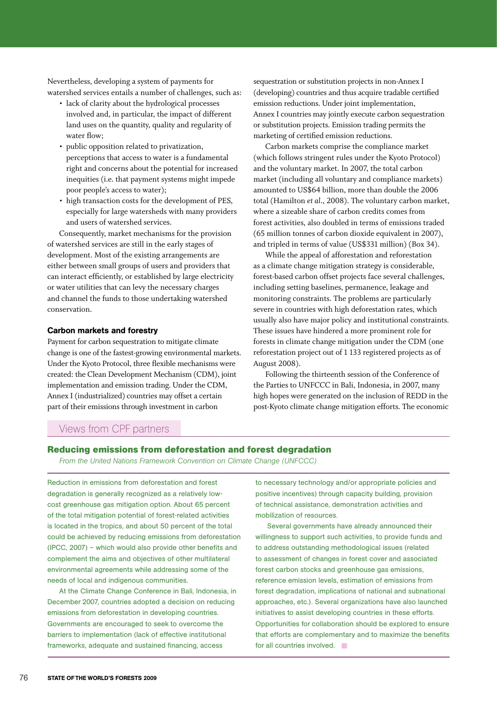Nevertheless, developing a system of payments for watershed services entails a number of challenges, such as:

- lack of clarity about the hydrological processes involved and, in particular, the impact of different land uses on the quantity, quality and regularity of water flow;
- public opposition related to privatization, perceptions that access to water is a fundamental right and concerns about the potential for increased inequities (i.e. that payment systems might impede poor people's access to water);
- high transaction costs for the development of PES, especially for large watersheds with many providers and users of watershed services.

Consequently, market mechanisms for the provision of watershed services are still in the early stages of development. Most of the existing arrangements are either between small groups of users and providers that can interact efficiently, or established by large electricity or water utilities that can levy the necessary charges and channel the funds to those undertaking watershed conservation.

#### Carbon markets and forestry

Payment for carbon sequestration to mitigate climate change is one of the fastest-growing environmental markets. Under the Kyoto Protocol, three flexible mechanisms were created: the Clean Development Mechanism (CDM), joint implementation and emission trading. Under the CDM, Annex I (industrialized) countries may offset a certain part of their emissions through investment in carbon

sequestration or substitution projects in non-Annex I (developing) countries and thus acquire tradable certified emission reductions. Under joint implementation, Annex I countries may jointly execute carbon sequestration or substitution projects. Emission trading permits the marketing of certified emission reductions.

Carbon markets comprise the compliance market (which follows stringent rules under the Kyoto Protocol) and the voluntary market. In 2007, the total carbon market (including all voluntary and compliance markets) amounted to US\$64 billion, more than double the 2006 total (Hamilton *et al*., 2008). The voluntary carbon market, where a sizeable share of carbon credits comes from forest activities, also doubled in terms of emissions traded (65 million tonnes of carbon dioxide equivalent in 2007), and tripled in terms of value (US\$331 million) (Box 34).

While the appeal of afforestation and reforestation as a climate change mitigation strategy is considerable, forest-based carbon offset projects face several challenges, including setting baselines, permanence, leakage and monitoring constraints. The problems are particularly severe in countries with high deforestation rates, which usually also have major policy and institutional constraints. These issues have hindered a more prominent role for forests in climate change mitigation under the CDM (one reforestation project out of 1 133 registered projects as of August 2008).

Following the thirteenth session of the Conference of the Parties to UNFCCC in Bali, Indonesia, in 2007, many high hopes were generated on the inclusion of REDD in the post-Kyoto climate change mitigation efforts. The economic

#### Views from CPF partners

#### **Reducing emissions from deforestation and forest degradation**

*From the United Nations Framework Convention on Climate Change (UNFCCC)*

Reduction in emissions from deforestation and forest degradation is generally recognized as a relatively lowcost greenhouse gas mitigation option. About 65 percent of the total mitigation potential of forest-related activities is located in the tropics, and about 50 percent of the total could be achieved by reducing emissions from deforestation (IPCC, 2007) – which would also provide other benefits and complement the aims and objectives of other multilateral environmental agreements while addressing some of the needs of local and indigenous communities.

At the Climate Change Conference in Bali, Indonesia, in December 2007, countries adopted a decision on reducing emissions from deforestation in developing countries. Governments are encouraged to seek to overcome the barriers to implementation (lack of effective institutional frameworks, adequate and sustained financing, access

to necessary technology and/or appropriate policies and positive incentives) through capacity building, provision of technical assistance, demonstration activities and mobilization of resources.

Several governments have already announced their willingness to support such activities, to provide funds and to address outstanding methodological issues (related to assessment of changes in forest cover and associated forest carbon stocks and greenhouse gas emissions, reference emission levels, estimation of emissions from forest degradation, implications of national and subnational approaches, etc.). Several organizations have also launched initiatives to assist developing countries in these efforts. Opportunities for collaboration should be explored to ensure that efforts are complementary and to maximize the benefits for all countries involved.  $\blacksquare$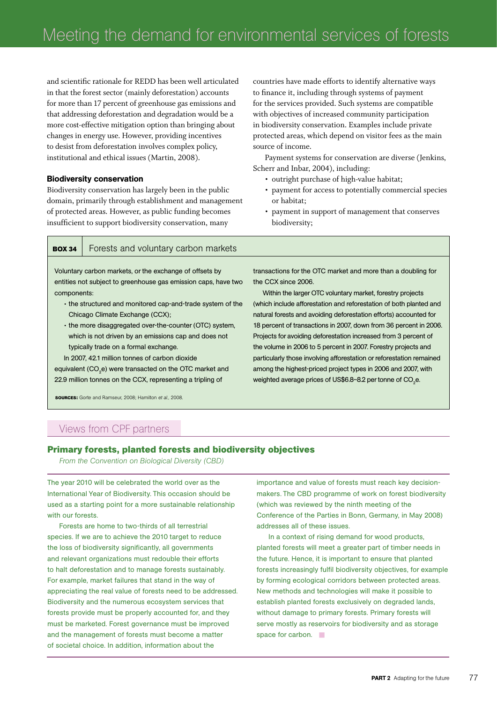and scientific rationale for REDD has been well articulated in that the forest sector (mainly deforestation) accounts for more than 17 percent of greenhouse gas emissions and that addressing deforestation and degradation would be a more cost-effective mitigation option than bringing about changes in energy use. However, providing incentives to desist from deforestation involves complex policy, institutional and ethical issues (Martin, 2008).

#### Biodiversity conservation

Biodiversity conservation has largely been in the public domain, primarily through establishment and management of protected areas. However, as public funding becomes insufficient to support biodiversity conservation, many

countries have made efforts to identify alternative ways to finance it, including through systems of payment for the services provided. Such systems are compatible with objectives of increased community participation in biodiversity conservation. Examples include private protected areas, which depend on visitor fees as the main source of income.

Payment systems for conservation are diverse (Jenkins, Scherr and Inbar, 2004), including:

- outright purchase of high-value habitat;
- • payment for access to potentially commercial species or habitat;
- payment in support of management that conserves biodiversity;

#### **BOX 34** Forests and voluntary carbon markets

Voluntary carbon markets, or the exchange of offsets by entities not subject to greenhouse gas emission caps, have two components:

- the structured and monitored cap-and-trade system of the Chicago Climate Exchange (CCX);
- the more disaggregated over-the-counter (OTC) system, which is not driven by an emissions cap and does not typically trade on a formal exchange.

In 2007, 42.1 million tonnes of carbon dioxide

equivalent (CO<sub>2</sub>e) were transacted on the OTC market and 22.9 million tonnes on the CCX, representing a tripling of

**sources:** Gorte and Ramseur, 2008; Hamilton *et al.,* 2008.

transactions for the OTC market and more than a doubling for the CCX since 2006.

Within the larger OTC voluntary market, forestry projects (which include afforestation and reforestation of both planted and natural forests and avoiding deforestation efforts) accounted for 18 percent of transactions in 2007, down from 36 percent in 2006. Projects for avoiding deforestation increased from 3 percent of the volume in 2006 to 5 percent in 2007. Forestry projects and particularly those involving afforestation or reforestation remained among the highest-priced project types in 2006 and 2007, with weighted average prices of US\$6.8–8.2 per tonne of CO<sub>2</sub>e.

## Views from CPF partners

#### **Primary forests, planted forests and biodiversity objectives**

*From the Convention on Biological Diversity (CBD)*

The year 2010 will be celebrated the world over as the International Year of Biodiversity. This occasion should be used as a starting point for a more sustainable relationship with our forests.

Forests are home to two-thirds of all terrestrial species. If we are to achieve the 2010 target to reduce the loss of biodiversity significantly, all governments and relevant organizations must redouble their efforts to halt deforestation and to manage forests sustainably. For example, market failures that stand in the way of appreciating the real value of forests need to be addressed. Biodiversity and the numerous ecosystem services that forests provide must be properly accounted for, and they must be marketed. Forest governance must be improved and the management of forests must become a matter of societal choice. In addition, information about the

importance and value of forests must reach key decisionmakers. The CBD programme of work on forest biodiversity (which was reviewed by the ninth meeting of the Conference of the Parties in Bonn, Germany, in May 2008) addresses all of these issues.

In a context of rising demand for wood products, planted forests will meet a greater part of timber needs in the future. Hence, it is important to ensure that planted forests increasingly fulfil biodiversity objectives, for example by forming ecological corridors between protected areas. New methods and technologies will make it possible to establish planted forests exclusively on degraded lands, without damage to primary forests. Primary forests will serve mostly as reservoirs for biodiversity and as storage space for carbon.  $\blacksquare$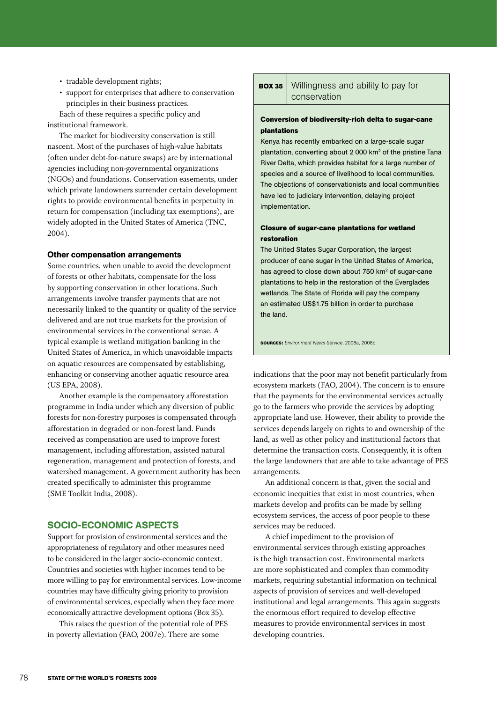- tradable development rights;
- support for enterprises that adhere to conservation principles in their business practices.

Each of these requires a specific policy and institutional framework.

The market for biodiversity conservation is still nascent. Most of the purchases of high-value habitats (often under debt-for-nature swaps) are by international agencies including non-governmental organizations (NGOs) and foundations. Conservation easements, under which private landowners surrender certain development rights to provide environmental benefits in perpetuity in return for compensation (including tax exemptions), are widely adopted in the United States of America (TNC, 2004).

#### Other compensation arrangements

Some countries, when unable to avoid the development of forests or other habitats, compensate for the loss by supporting conservation in other locations. Such arrangements involve transfer payments that are not necessarily linked to the quantity or quality of the service delivered and are not true markets for the provision of environmental services in the conventional sense. A typical example is wetland mitigation banking in the United States of America, in which unavoidable impacts on aquatic resources are compensated by establishing, enhancing or conserving another aquatic resource area (US EPA, 2008).

Another example is the compensatory afforestation programme in India under which any diversion of public forests for non-forestry purposes is compensated through afforestation in degraded or non-forest land. Funds received as compensation are used to improve forest management, including afforestation, assisted natural regeneration, management and protection of forests, and watershed management. A government authority has been created specifically to administer this programme (SME Toolkit India, 2008).

#### Socio-economic aspects

Support for provision of environmental services and the appropriateness of regulatory and other measures need to be considered in the larger socio-economic context. Countries and societies with higher incomes tend to be more willing to pay for environmental services. Low-income countries may have difficulty giving priority to provision of environmental services, especially when they face more economically attractive development options (Box 35).

This raises the question of the potential role of PES in poverty alleviation (FAO, 2007e). There are some

#### **BOX 35** Willingness and ability to pay for conservation

#### **Conversion of biodiversity-rich delta to sugar-cane plantations**

Kenya has recently embarked on a large-scale sugar plantation, converting about 2 000 km<sup>2</sup> of the pristine Tana River Delta, which provides habitat for a large number of species and a source of livelihood to local communities. The objections of conservationists and local communities have led to judiciary intervention, delaying project implementation.

#### **Closure of sugar-cane plantations for wetland restoration**

The United States Sugar Corporation, the largest producer of cane sugar in the United States of America, has agreed to close down about 750 km<sup>2</sup> of sugar-cane plantations to help in the restoration of the Everglades wetlands. The State of Florida will pay the company an estimated US\$1.75 billion in order to purchase the land.

**sources:** *Environment News Service*, 2008a, 2008b.

indications that the poor may not benefit particularly from ecosystem markets (FAO, 2004). The concern is to ensure that the payments for the environmental services actually go to the farmers who provide the services by adopting appropriate land use. However, their ability to provide the services depends largely on rights to and ownership of the land, as well as other policy and institutional factors that determine the transaction costs. Consequently, it is often the large landowners that are able to take advantage of PES arrangements.

An additional concern is that, given the social and economic inequities that exist in most countries, when markets develop and profits can be made by selling ecosystem services, the access of poor people to these services may be reduced.

A chief impediment to the provision of environmental services through existing approaches is the high transaction cost. Environmental markets are more sophisticated and complex than commodity markets, requiring substantial information on technical aspects of provision of services and well-developed institutional and legal arrangements. This again suggests the enormous effort required to develop effective measures to provide environmental services in most developing countries.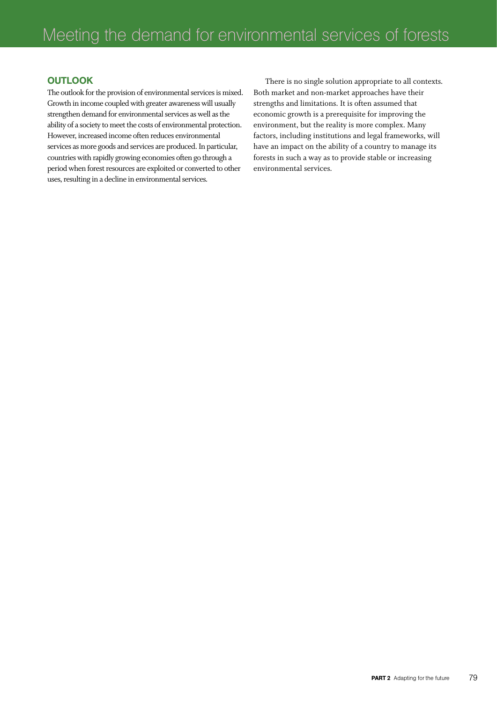#### **OUTLOOK**

The outlook for the provision of environmental services is mixed. Growth in income coupled with greater awareness will usually strengthen demand for environmental services as well as the ability of a society to meet the costs of environmental protection. However, increased income often reduces environmental services as more goods and services are produced. In particular, countries with rapidly growing economies often go through a period when forest resources are exploited or converted to other uses, resulting in a decline in environmental services.

There is no single solution appropriate to all contexts. Both market and non-market approaches have their strengths and limitations. It is often assumed that economic growth is a prerequisite for improving the environment, but the reality is more complex. Many factors, including institutions and legal frameworks, will have an impact on the ability of a country to manage its forests in such a way as to provide stable or increasing environmental services.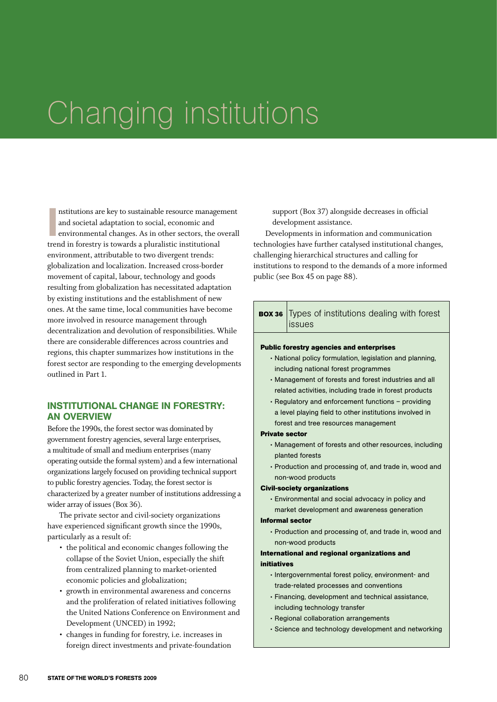# Changing institutions

nstitutions are key to sustainable resource manage and societal adaptation to social, economic and environmental changes. As in other sectors, the c trend in forestry is towards a pluralistic institutional nstitutions are key to sustainable resource management and societal adaptation to social, economic and environmental changes. As in other sectors, the overall environment, attributable to two divergent trends: globalization and localization. Increased cross-border movement of capital, labour, technology and goods resulting from globalization has necessitated adaptation by existing institutions and the establishment of new ones. At the same time, local communities have become more involved in resource management through decentralization and devolution of responsibilities. While there are considerable differences across countries and regions, this chapter summarizes how institutions in the forest sector are responding to the emerging developments outlined in Part 1.

### Institutional change in forestry: an overview

Before the 1990s, the forest sector was dominated by government forestry agencies, several large enterprises, a multitude of small and medium enterprises (many operating outside the formal system) and a few international organizations largely focused on providing technical support to public forestry agencies. Today, the forest sector is characterized by a greater number of institutions addressing a wider array of issues (Box 36).

The private sector and civil-society organizations have experienced significant growth since the 1990s, particularly as a result of:

- the political and economic changes following the collapse of the Soviet Union, especially the shift from centralized planning to market-oriented economic policies and globalization;
- growth in environmental awareness and concerns and the proliferation of related initiatives following the United Nations Conference on Environment and Development (UNCED) in 1992;
- • changes in funding for forestry, i.e. increases in foreign direct investments and private-foundation

support (Box 37) alongside decreases in official development assistance.

Developments in information and communication technologies have further catalysed institutional changes, challenging hierarchical structures and calling for institutions to respond to the demands of a more informed public (see Box 45 on page 88).

## **BOX 36** Types of institutions dealing with forest issues

#### **Public forestry agencies and enterprises**

- • National policy formulation, legislation and planning, including national forest programmes
- • Management of forests and forest industries and all related activities, including trade in forest products
- • Regulatory and enforcement functions providing a level playing field to other institutions involved in forest and tree resources management

#### **Private sector**

- • Management of forests and other resources, including planted forests
- • Production and processing of, and trade in, wood and non-wood products

#### **Civil-society organizations**

• Environmental and social advocacy in policy and market development and awareness generation

#### **Informal sector**

• Production and processing of, and trade in, wood and non-wood products

#### **International and regional organizations and initiatives**

- • Intergovernmental forest policy, environment- and trade-related processes and conventions
- • Financing, development and technical assistance, including technology transfer
- Regional collaboration arrangements
- • Science and technology development and networking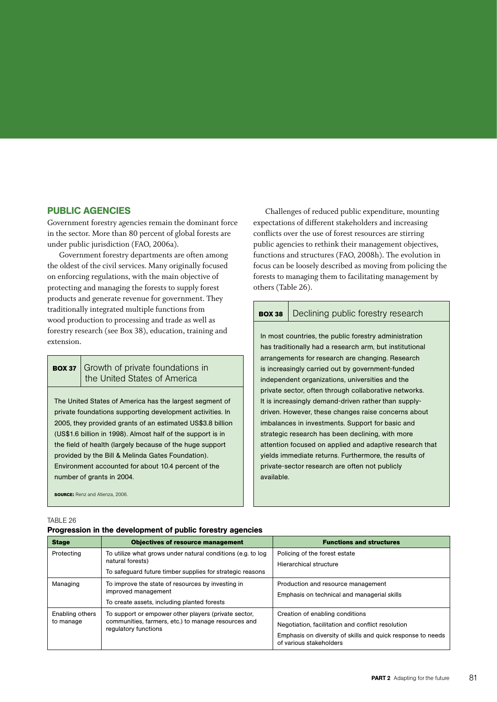#### Public agencies

Government forestry agencies remain the dominant force in the sector. More than 80 percent of global forests are under public jurisdiction (FAO, 2006a).

Government forestry departments are often among the oldest of the civil services. Many originally focused on enforcing regulations, with the main objective of protecting and managing the forests to supply forest products and generate revenue for government. They traditionally integrated multiple functions from wood production to processing and trade as well as forestry research (see Box 38), education, training and extension.

#### **BOX 37** Growth of private foundations in the United States of America

The United States of America has the largest segment of private foundations supporting development activities. In 2005, they provided grants of an estimated US\$3.8 billion (US\$1.6 billion in 1998). Almost half of the support is in the field of health (largely because of the huge support provided by the Bill & Melinda Gates Foundation). Environment accounted for about 10.4 percent of the number of grants in 2004.

**source:** Renz and Atienza, 2006.

Challenges of reduced public expenditure, mounting expectations of different stakeholders and increasing conflicts over the use of forest resources are stirring public agencies to rethink their management objectives, functions and structures (FAO, 2008h). The evolution in focus can be loosely described as moving from policing the forests to managing them to facilitating management by others (Table 26).

#### **BOX 38** Declining public forestry research

In most countries, the public forestry administration has traditionally had a research arm, but institutional arrangements for research are changing. Research is increasingly carried out by government-funded independent organizations, universities and the private sector, often through collaborative networks. It is increasingly demand-driven rather than supplydriven. However, these changes raise concerns about imbalances in investments. Support for basic and strategic research has been declining, with more attention focused on applied and adaptive research that yields immediate returns. Furthermore, the results of private-sector research are often not publicly available.

#### TABLE 26

#### Progression in the development of public forestry agencies

| <b>Stage</b>    | <b>Objectives of resource management</b>                                    | <b>Functions and structures</b>                                                        |
|-----------------|-----------------------------------------------------------------------------|----------------------------------------------------------------------------------------|
| Protecting      | To utilize what grows under natural conditions (e.g. to log                 | Policing of the forest estate                                                          |
|                 | natural forests)                                                            | Hierarchical structure                                                                 |
|                 | To safeguard future timber supplies for strategic reasons                   |                                                                                        |
| Managing        | To improve the state of resources by investing in                           | Production and resource management                                                     |
|                 | improved management                                                         | Emphasis on technical and managerial skills                                            |
|                 | To create assets, including planted forests                                 |                                                                                        |
| Enabling others | To support or empower other players (private sector,                        | Creation of enabling conditions                                                        |
| to manage       | communities, farmers, etc.) to manage resources and<br>regulatory functions | Negotiation, facilitation and conflict resolution                                      |
|                 |                                                                             | Emphasis on diversity of skills and quick response to needs<br>of various stakeholders |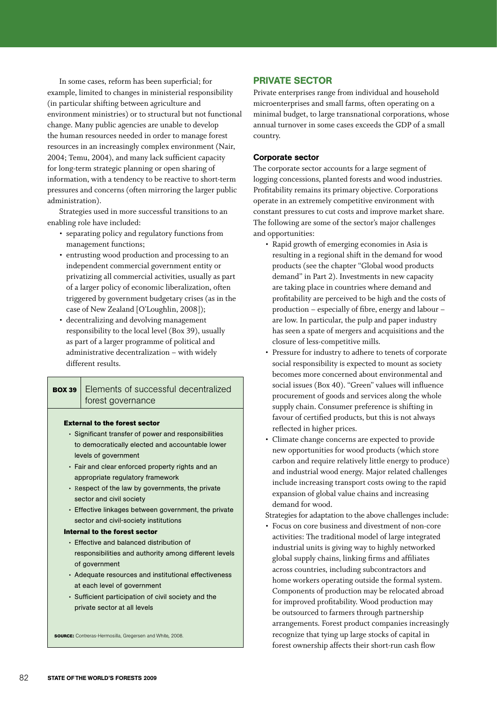In some cases, reform has been superficial; for example, limited to changes in ministerial responsibility (in particular shifting between agriculture and environment ministries) or to structural but not functional change. Many public agencies are unable to develop the human resources needed in order to manage forest resources in an increasingly complex environment (Nair, 2004; Temu, 2004), and many lack sufficient capacity for long-term strategic planning or open sharing of information, with a tendency to be reactive to short-term pressures and concerns (often mirroring the larger public administration).

Strategies used in more successful transitions to an enabling role have included:

- separating policy and regulatory functions from management functions;
- entrusting wood production and processing to an independent commercial government entity or privatizing all commercial activities, usually as part of a larger policy of economic liberalization, often triggered by government budgetary crises (as in the case of New Zealand [O'Loughlin, 2008]);
- decentralizing and devolving management responsibility to the local level (Box 39), usually as part of a larger programme of political and administrative decentralization – with widely different results.

#### **BOX 39** Elements of successful decentralized forest governance

#### **External to the forest sector**

- • Significant transfer of power and responsibilities to democratically elected and accountable lower levels of government
- Fair and clear enforced property rights and an appropriate regulatory framework
- Respect of the law by governments, the private sector and civil society
- $\cdot$  Effective linkages between government, the private sector and civil-society institutions

#### **Internal to the forest sector**

- • Effective and balanced distribution of responsibilities and authority among different levels of government
- Adequate resources and institutional effectiveness at each level of government
- • Sufficient participation of civil society and the private sector at all levels

**source:** Contreras-Hermosilla, Gregersen and White*,* 2008.

#### Private sector

Private enterprises range from individual and household microenterprises and small farms, often operating on a minimal budget, to large transnational corporations, whose annual turnover in some cases exceeds the GDP of a small country.

#### Corporate sector

The corporate sector accounts for a large segment of logging concessions, planted forests and wood industries. Profitability remains its primary objective. Corporations operate in an extremely competitive environment with constant pressures to cut costs and improve market share. The following are some of the sector's major challenges and opportunities:

- • Rapid growth of emerging economies in Asia is resulting in a regional shift in the demand for wood products (see the chapter "Global wood products demand" in Part 2). Investments in new capacity are taking place in countries where demand and profitability are perceived to be high and the costs of production – especially of fibre, energy and labour – are low. In particular, the pulp and paper industry has seen a spate of mergers and acquisitions and the closure of less-competitive mills.
- Pressure for industry to adhere to tenets of corporate social responsibility is expected to mount as society becomes more concerned about environmental and social issues (Box 40). "Green" values will influence procurement of goods and services along the whole supply chain. Consumer preference is shifting in favour of certified products, but this is not always reflected in higher prices.
- Climate change concerns are expected to provide new opportunities for wood products (which store carbon and require relatively little energy to produce) and industrial wood energy. Major related challenges include increasing transport costs owing to the rapid expansion of global value chains and increasing demand for wood.

Strategies for adaptation to the above challenges include:

Focus on core business and divestment of non-core activities: The traditional model of large integrated industrial units is giving way to highly networked global supply chains, linking firms and affiliates across countries, including subcontractors and home workers operating outside the formal system. Components of production may be relocated abroad for improved profitability. Wood production may be outsourced to farmers through partnership arrangements. Forest product companies increasingly recognize that tying up large stocks of capital in forest ownership affects their short-run cash flow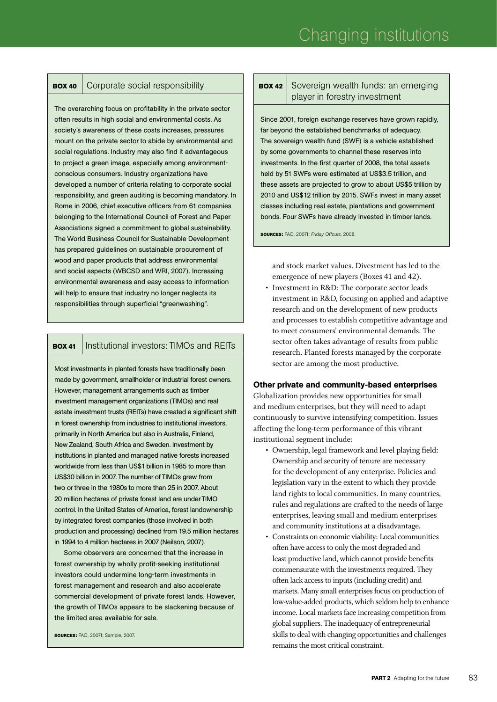### **BOX 40** Corporate social responsibility

The overarching focus on profitability in the private sector often results in high social and environmental costs. As society's awareness of these costs increases, pressures mount on the private sector to abide by environmental and social regulations. Industry may also find it advantageous to project a green image, especially among environmentconscious consumers. Industry organizations have developed a number of criteria relating to corporate social responsibility, and green auditing is becoming mandatory. In Rome in 2006, chief executive officers from 61 companies belonging to the International Council of Forest and Paper Associations signed a commitment to global sustainability. The World Business Council for Sustainable Development has prepared guidelines on sustainable procurement of wood and paper products that address environmental and social aspects (WBCSD and WRI, 2007). Increasing environmental awareness and easy access to information will help to ensure that industry no longer neglects its responsibilities through superficial "greenwashing".

## **BOX 41** Institutional investors: TIMOs and REITs

Most investments in planted forests have traditionally been made by government, smallholder or industrial forest owners. However, management arrangements such as timber investment management organizations (TIMOs) and real estate investment trusts (REITs) have created a significant shift in forest ownership from industries to institutional investors, primarily in North America but also in Australia, Finland, New Zealand, South Africa and Sweden. Investment by institutions in planted and managed native forests increased worldwide from less than US\$1 billion in 1985 to more than US\$30 billion in 2007. The number of TIMOs grew from two or three in the 1980s to more than 25 in 2007. About 20 million hectares of private forest land are under TIMO control. In the United States of America, forest landownership by integrated forest companies (those involved in both production and processing) declined from 19.5 million hectares in 1994 to 4 million hectares in 2007 (Neilson, 2007).

Some observers are concerned that the increase in forest ownership by wholly profit-seeking institutional investors could undermine long-term investments in forest management and research and also accelerate commercial development of private forest lands. However, the growth of TIMOs appears to be slackening because of the limited area available for sale.

**sources:** FAO, 2007f; Sample, 2007.

#### **BOX 42** Sovereign wealth funds: an emerging player in forestry investment

Since 2001, foreign exchange reserves have grown rapidly, far beyond the established benchmarks of adequacy. The sovereign wealth fund (SWF) is a vehicle established by some governments to channel these reserves into investments. In the first quarter of 2008, the total assets held by 51 SWFs were estimated at US\$3.5 trillion, and these assets are projected to grow to about US\$5 trillion by 2010 and US\$12 trillion by 2015. SWFs invest in many asset classes including real estate, plantations and government bonds. Four SWFs have already invested in timber lands.

**sources:** FAO, 2007f; *Friday Offcuts,* 2008.

and stock market values. Divestment has led to the emergence of new players (Boxes 41 and 42).

• Investment in R&D: The corporate sector leads investment in R&D, focusing on applied and adaptive research and on the development of new products and processes to establish competitive advantage and to meet consumers' environmental demands. The sector often takes advantage of results from public research. Planted forests managed by the corporate sector are among the most productive.

#### Other private and community-based enterprises

Globalization provides new opportunities for small and medium enterprises, but they will need to adapt continuously to survive intensifying competition. Issues affecting the long-term performance of this vibrant institutional segment include:

- • Ownership, legal framework and level playing field: Ownership and security of tenure are necessary for the development of any enterprise. Policies and legislation vary in the extent to which they provide land rights to local communities. In many countries, rules and regulations are crafted to the needs of large enterprises, leaving small and medium enterprises and community institutions at a disadvantage.
- Constraints on economic viability: Local communities often have access to only the most degraded and least productive land, which cannot provide benefits commensurate with the investments required. They often lack accessto inputs(including credit) and markets. Many small enterprises focus on production of low-value-added products, which seldom help to enhance income. Local markets face increasing competition from global suppliers. The inadequacy of entrepreneurial skills to deal with changing opportunities and challenges remains the most critical constraint.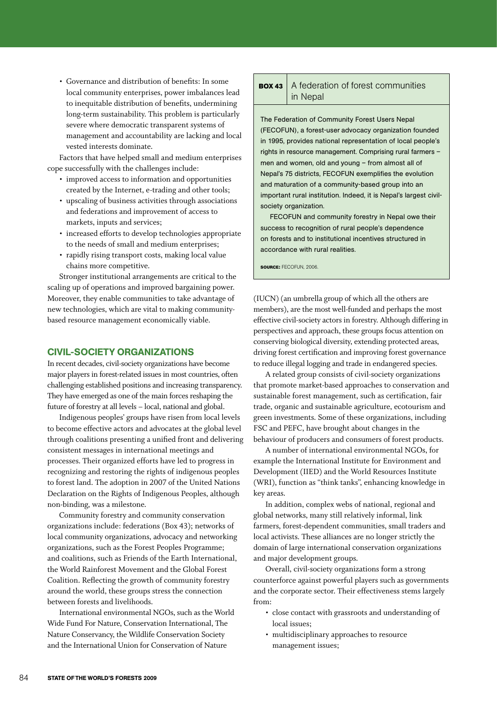• Governance and distribution of benefits: In some local community enterprises, power imbalances lead to inequitable distribution of benefits, undermining long-term sustainability. This problem is particularly severe where democratic transparent systems of management and accountability are lacking and local vested interests dominate.

Factors that have helped small and medium enterprises cope successfully with the challenges include:

- improved access to information and opportunities created by the Internet, e-trading and other tools;
- upscaling of business activities through associations and federations and improvement of access to markets, inputs and services;
- increased efforts to develop technologies appropriate to the needs of small and medium enterprises;
- rapidly rising transport costs, making local value chains more competitive.

Stronger institutional arrangements are critical to the scaling up of operations and improved bargaining power. Moreover, they enable communities to take advantage of new technologies, which are vital to making communitybased resource management economically viable.

#### Civil-society organizations

In recent decades, civil-society organizations have become major players in forest-related issues in most countries, often challenging established positions and increasing transparency. They have emerged as one of the main forces reshaping the future of forestry at all levels – local, national and global.

Indigenous peoples' groups have risen from local levels to become effective actors and advocates at the global level through coalitions presenting a unified front and delivering consistent messages in international meetings and processes. Their organized efforts have led to progress in recognizing and restoring the rights of indigenous peoples to forest land. The adoption in 2007 of the United Nations Declaration on the Rights of Indigenous Peoples, although non-binding, was a milestone.

Community forestry and community conservation organizations include: federations (Box 43); networks of local community organizations, advocacy and networking organizations, such as the Forest Peoples Programme; and coalitions, such as Friends of the Earth International, the World Rainforest Movement and the Global Forest Coalition. Reflecting the growth of community forestry around the world, these groups stress the connection between forests and livelihoods.

International environmental NGOs, such as the World Wide Fund For Nature, Conservation International, The Nature Conservancy, the Wildlife Conservation Society and the International Union for Conservation of Nature

| <b>BOX 43</b> A federation of forest communities |
|--------------------------------------------------|
| In Nepal                                         |

The Federation of Community Forest Users Nepal (FECOFUN), a forest-user advocacy organization founded in 1995, provides national representation of local people's rights in resource management. Comprising rural farmers – men and women, old and young – from almost all of Nepal's 75 districts, FECOFUN exemplifies the evolution and maturation of a community-based group into an important rural institution. Indeed, it is Nepal's largest civilsociety organization.

FECOFUN and community forestry in Nepal owe their success to recognition of rural people's dependence on forests and to institutional incentives structured in accordance with rural realities.

**source:** FECOFUN, 2006.

(IUCN) (an umbrella group of which all the others are members), are the most well-funded and perhaps the most effective civil-society actors in forestry. Although differing in perspectives and approach, these groups focus attention on conserving biological diversity, extending protected areas, driving forest certification and improving forest governance to reduce illegal logging and trade in endangered species.

A related group consists of civil-society organizations that promote market-based approaches to conservation and sustainable forest management, such as certification, fair trade, organic and sustainable agriculture, ecotourism and green investments. Some of these organizations, including FSC and PEFC, have brought about changes in the behaviour of producers and consumers of forest products.

A number of international environmental NGOs, for example the International Institute for Environment and Development (IIED) and the World Resources Institute (WRI), function as "think tanks", enhancing knowledge in key areas.

In addition, complex webs of national, regional and global networks, many still relatively informal, link farmers, forest-dependent communities, small traders and local activists. These alliances are no longer strictly the domain of large international conservation organizations and major development groups.

Overall, civil-society organizations form a strong counterforce against powerful players such as governments and the corporate sector. Their effectiveness stems largely from:

- close contact with grassroots and understanding of local issues;
- multidisciplinary approaches to resource management issues;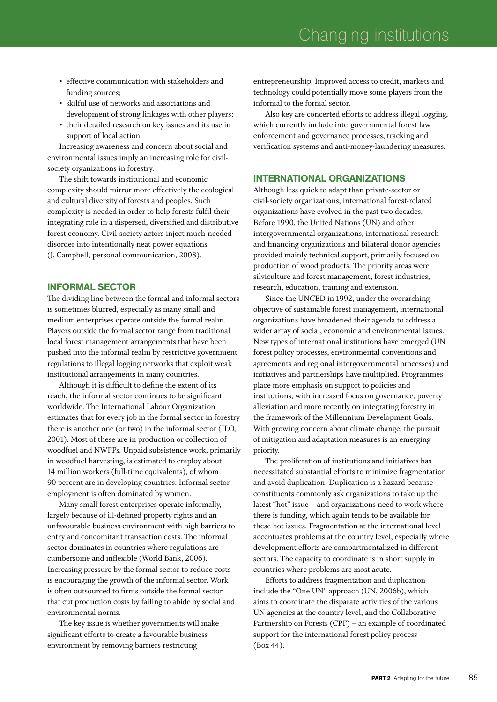- • effective communication with stakeholders and funding sources;
- • skilful use of networks and associations and development of strong linkages with other players;
- their detailed research on key issues and its use in support of local action.

Increasing awareness and concern about social and environmental issues imply an increasing role for civilsociety organizations in forestry.

The shift towards institutional and economic complexity should mirror more effectively the ecological and cultural diversity of forests and peoples. Such complexity is needed in order to help forests fulfil their integrating role in a dispersed, diversified and distributive forest economy. Civil-society actors inject much-needed disorder into intentionally neat power equations (J. Campbell, personal communication, 2008).

#### Informal sector

The dividing line between the formal and informal sectors is sometimes blurred, especially as many small and medium enterprises operate outside the formal realm. Players outside the formal sector range from traditional local forest management arrangements that have been pushed into the informal realm by restrictive government regulations to illegal logging networks that exploit weak institutional arrangements in many countries.

Although it is difficult to define the extent of its reach, the informal sector continues to be significant worldwide. The International Labour Organization estimates that for every job in the formal sector in forestry there is another one (or two) in the informal sector (ILO, 2001). Most of these are in production or collection of woodfuel and NWFPs. Unpaid subsistence work, primarily in woodfuel harvesting, is estimated to employ about 14 million workers (full-time equivalents), of whom 90 percent are in developing countries. Informal sector employment is often dominated by women.

Many small forest enterprises operate informally, largely because of ill-defined property rights and an unfavourable business environment with high barriers to entry and concomitant transaction costs. The informal sector dominates in countries where regulations are cumbersome and inflexible (World Bank, 2006). Increasing pressure by the formal sector to reduce costs is encouraging the growth of the informal sector. Work is often outsourced to firms outside the formal sector that cut production costs by failing to abide by social and environmental norms.

The key issue is whether governments will make significant efforts to create a favourable business environment by removing barriers restricting

entrepreneurship. Improved access to credit, markets and technology could potentially move some players from the informal to the formal sector.

Also key are concerted efforts to address illegal logging, which currently include intergovernmental forest law enforcement and governance processes, tracking and verification systems and anti-money-laundering measures.

#### International organizations

Although less quick to adapt than private-sector or civil-society organizations, international forest-related organizations have evolved in the past two decades. Before 1990, the United Nations (UN) and other intergovernmental organizations, international research and financing organizations and bilateral donor agencies provided mainly technical support, primarily focused on production of wood products. The priority areas were silviculture and forest management, forest industries, research, education, training and extension.

Since the UNCED in 1992, under the overarching objective of sustainable forest management, international organizations have broadened their agenda to address a wider array of social, economic and environmental issues. New types of international institutions have emerged (UN forest policy processes, environmental conventions and agreements and regional intergovernmental processes) and initiatives and partnerships have multiplied. Programmes place more emphasis on support to policies and institutions, with increased focus on governance, poverty alleviation and more recently on integrating forestry in the framework of the Millennium Development Goals. With growing concern about climate change, the pursuit of mitigation and adaptation measures is an emerging priority.

The proliferation of institutions and initiatives has necessitated substantial efforts to minimize fragmentation and avoid duplication. Duplication is a hazard because constituents commonly ask organizations to take up the latest "hot" issue – and organizations need to work where there is funding, which again tends to be available for these hot issues. Fragmentation at the international level accentuates problems at the country level, especially where development efforts are compartmentalized in different sectors. The capacity to coordinate is in short supply in countries where problems are most acute.

Efforts to address fragmentation and duplication include the "One UN" approach (UN, 2006b), which aims to coordinate the disparate activities of the various UN agencies at the country level, and the Collaborative Partnership on Forests (CPF) – an example of coordinated support for the international forest policy process (Box 44).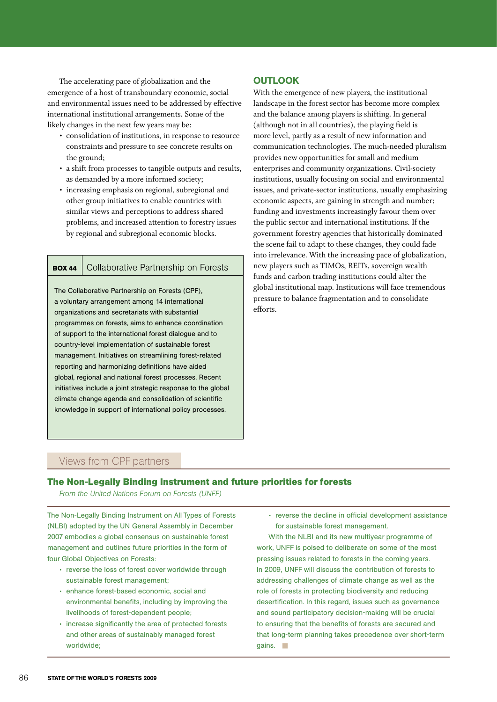The accelerating pace of globalization and the emergence of a host of transboundary economic, social and environmental issues need to be addressed by effective international institutional arrangements. Some of the likely changes in the next few years may be:

- • consolidation of institutions, in response to resource constraints and pressure to see concrete results on the ground;
- a shift from processes to tangible outputs and results, as demanded by a more informed society;
- increasing emphasis on regional, subregional and other group initiatives to enable countries with similar views and perceptions to address shared problems, and increased attention to forestry issues by regional and subregional economic blocks.

#### **BOX 44** | Collaborative Partnership on Forests

The Collaborative Partnership on Forests (CPF), a voluntary arrangement among 14 international organizations and secretariats with substantial programmes on forests, aims to enhance coordination of support to the international forest dialogue and to country-level implementation of sustainable forest management. Initiatives on streamlining forest-related reporting and harmonizing definitions have aided global, regional and national forest processes. Recent initiatives include a joint strategic response to the global climate change agenda and consolidation of scientific knowledge in support of international policy processes.

#### **OUTLOOK**

With the emergence of new players, the institutional landscape in the forest sector has become more complex and the balance among players is shifting. In general (although not in all countries), the playing field is more level, partly as a result of new information and communication technologies. The much-needed pluralism provides new opportunities for small and medium enterprises and community organizations. Civil-society institutions, usually focusing on social and environmental issues, and private-sector institutions, usually emphasizing economic aspects, are gaining in strength and number; funding and investments increasingly favour them over the public sector and international institutions. If the government forestry agencies that historically dominated the scene fail to adapt to these changes, they could fade into irrelevance. With the increasing pace of globalization, new players such as TIMOs, REITs, sovereign wealth funds and carbon trading institutions could alter the global institutional map. Institutions will face tremendous pressure to balance fragmentation and to consolidate efforts.

## Views from CPF partners

#### **The Non-Legally Binding Instrument and future priorities for forests**

*From the United Nations Forum on Forests (UNFF)*

The Non-Legally Binding Instrument on All Types of Forests (NLBI) adopted by the UN General Assembly in December 2007 embodies a global consensus on sustainable forest management and outlines future priorities in the form of four Global Objectives on Forests:

- reverse the loss of forest cover worldwide through sustainable forest management;
- enhance forest-based economic, social and environmental benefits, including by improving the livelihoods of forest-dependent people;
- increase significantly the area of protected forests and other areas of sustainably managed forest worldwide;

• reverse the decline in official development assistance for sustainable forest management.

With the NLBI and its new multiyear programme of work, UNFF is poised to deliberate on some of the most pressing issues related to forests in the coming years. In 2009, UNFF will discuss the contribution of forests to addressing challenges of climate change as well as the role of forests in protecting biodiversity and reducing desertification. In this regard, issues such as governance and sound participatory decision-making will be crucial to ensuring that the benefits of forests are secured and that long-term planning takes precedence over short-term  $qains.$   $\blacksquare$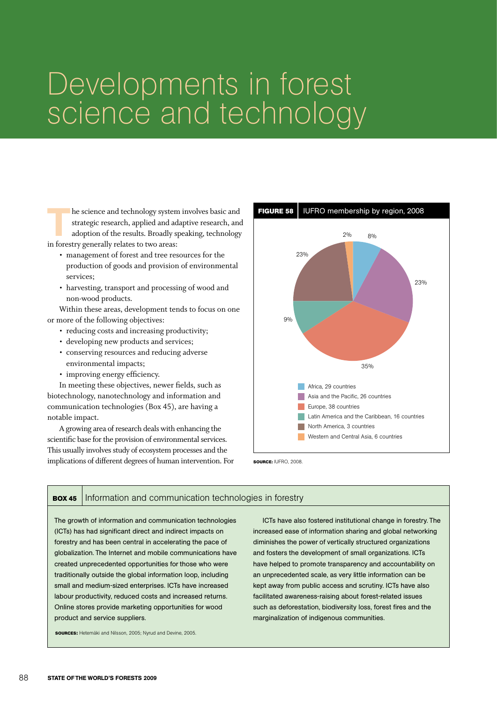## Developments in forest science and technology

The science and technology system involves basic and<br>strategic research, applied and adaptive research, and<br>adoption of the results. Broadly speaking, technology<br>in forectry concrelly relates to two executives strategic research, applied and adaptive research, and adoption of the results. Broadly speaking, technology

in forestry generally relates to two areas:

- • management of forest and tree resources for the production of goods and provision of environmental services;
- harvesting, transport and processing of wood and non-wood products.

Within these areas, development tends to focus on one or more of the following objectives:

- reducing costs and increasing productivity;
- developing new products and services;
- conserving resources and reducing adverse environmental impacts;
- improving energy efficiency.

In meeting these objectives, newer fields, such as biotechnology, nanotechnology and information and communication technologies (Box 45), are having a notable impact.

A growing area of research deals with enhancing the scientific base for the provision of environmental services. This usually involves study of ecosystem processes and the implications of different degrees of human intervention. For



**Source:** IUFRO, 2008.

#### **BOX 45** Information and communication technologies in forestry

The growth of information and communication technologies (ICTs) has had significant direct and indirect impacts on forestry and has been central in accelerating the pace of globalization. The Internet and mobile communications have created unprecedented opportunities for those who were traditionally outside the global information loop, including small and medium-sized enterprises. ICTs have increased labour productivity, reduced costs and increased returns. Online stores provide marketing opportunities for wood product and service suppliers.

ICTs have also fostered institutional change in forestry. The increased ease of information sharing and global networking diminishes the power of vertically structured organizations and fosters the development of small organizations. ICTs have helped to promote transparency and accountability on an unprecedented scale, as very little information can be kept away from public access and scrutiny. ICTs have also facilitated awareness-raising about forest-related issues such as deforestation, biodiversity loss, forest fires and the marginalization of indigenous communities.

**sources:** Hetemäki and Nilsson, 2005; Nyrud and Devine, 2005.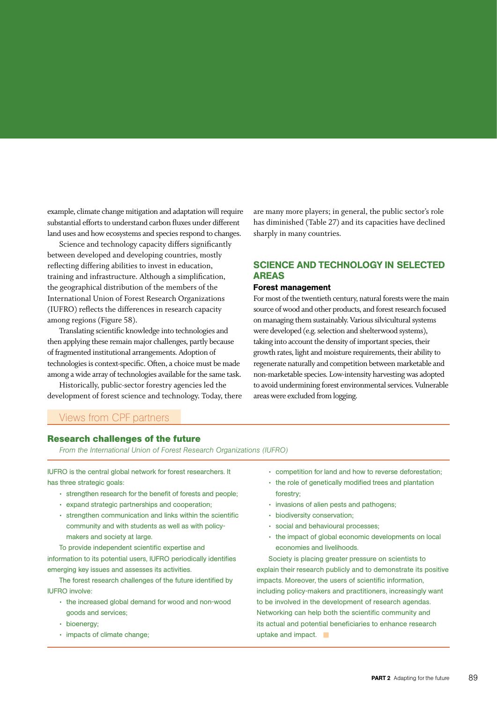example, climate change mitigation and adaptation will require substantial efforts to understand carbon fluxes under different land uses and how ecosystems and species respond to changes.

Science and technology capacity differs significantly between developed and developing countries, mostly reflecting differing abilities to invest in education, training and infrastructure. Although a simplification, the geographical distribution of the members of the International Union of Forest Research Organizations (IUFRO) reflects the differences in research capacity among regions (Figure 58).

Translating scientific knowledge into technologies and then applying these remain major challenges, partly because of fragmented institutional arrangements. Adoption of technologies is context-specific. Often, a choice must be made among a wide array of technologies available for the same task.

Historically, public-sector forestry agencies led the development of forest science and technology. Today, there are many more players; in general, the public sector's role has diminished (Table 27) and its capacities have declined sharply in many countries.

#### Science and technology in selected **AREAS**

#### Forest management

For most of the twentieth century, natural forests were the main source of wood and other products, and forest research focused on managing them sustainably. Various silvicultural systems were developed (e.g. selection and shelterwood systems), taking into account the density of important species, their growth rates, light and moisture requirements, their ability to regenerate naturally and competition between marketable and non-marketable species. Low-intensity harvesting was adopted to avoid undermining forest environmental services. Vulnerable areas were excluded from logging.

#### Views from CPF partners

#### **Research challenges of the future**

*From the International Union of Forest Research Organizations (IUFRO)*

IUFRO is the central global network for forest researchers. It has three strategic goals:

- strengthen research for the benefit of forests and people;
- expand strategic partnerships and cooperation;
- strengthen communication and links within the scientific community and with students as well as with policymakers and society at large.

To provide independent scientific expertise and information to its potential users, IUFRO periodically identifies emerging key issues and assesses its activities.

The forest research challenges of the future identified by IUFRO involve:

- the increased global demand for wood and non-wood goods and services;
- bioenergy;
- impacts of climate change;
- competition for land and how to reverse deforestation;
- the role of genetically modified trees and plantation forestry;
- invasions of alien pests and pathogens;
- biodiversity conservation:
- social and behavioural processes;
- the impact of global economic developments on local economies and livelihoods.

Society is placing greater pressure on scientists to explain their research publicly and to demonstrate its positive impacts. Moreover, the users of scientific information, including policy-makers and practitioners, increasingly want to be involved in the development of research agendas. Networking can help both the scientific community and its actual and potential beneficiaries to enhance research uptake and impact.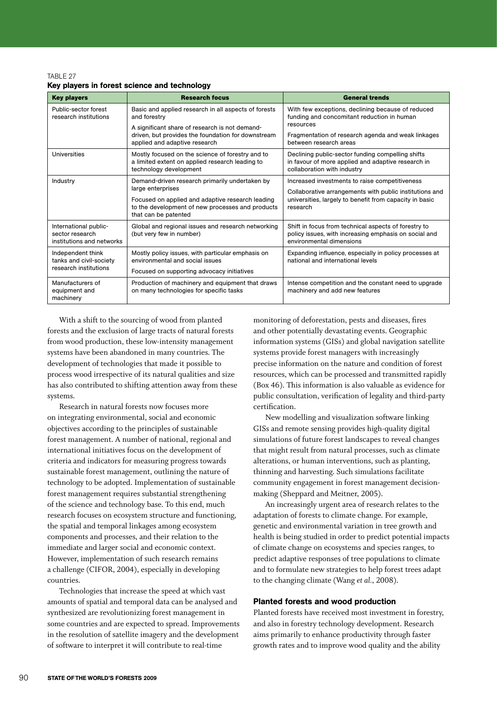#### TARI F 27 Key players in forest science and technology

| <b>Key players</b>                                                    | <b>Research focus</b>                                                                                                         | <b>General trends</b>                                                                                                                     |  |  |
|-----------------------------------------------------------------------|-------------------------------------------------------------------------------------------------------------------------------|-------------------------------------------------------------------------------------------------------------------------------------------|--|--|
| Public-sector forest<br>research institutions                         | Basic and applied research in all aspects of forests<br>and forestry<br>A significant share of research is not demand-        | With few exceptions, declining because of reduced<br>funding and concomitant reduction in human<br>resources                              |  |  |
|                                                                       | driven, but provides the foundation for downstream<br>applied and adaptive research                                           | Fragmentation of research agenda and weak linkages<br>between research areas                                                              |  |  |
| Universities                                                          | Mostly focused on the science of forestry and to<br>a limited extent on applied research leading to<br>technology development | Declining public-sector funding compelling shifts<br>in favour of more applied and adaptive research in<br>collaboration with industry    |  |  |
| Industry                                                              | Demand-driven research primarily undertaken by<br>large enterprises                                                           | Increased investments to raise competitiveness                                                                                            |  |  |
|                                                                       | Focused on applied and adaptive research leading<br>to the development of new processes and products<br>that can be patented  | Collaborative arrangements with public institutions and<br>universities, largely to benefit from capacity in basic<br>research            |  |  |
| International public-<br>sector research<br>institutions and networks | Global and regional issues and research networking<br>(but very few in number)                                                | Shift in focus from technical aspects of forestry to<br>policy issues, with increasing emphasis on social and<br>environmental dimensions |  |  |
| Independent think<br>tanks and civil-society                          | Mostly policy issues, with particular emphasis on<br>environmental and social issues                                          | Expanding influence, especially in policy processes at<br>national and international levels                                               |  |  |
| research institutions                                                 | Focused on supporting advocacy initiatives                                                                                    |                                                                                                                                           |  |  |
| Manufacturers of<br>equipment and<br>machinery                        | Production of machinery and equipment that draws<br>on many technologies for specific tasks                                   | Intense competition and the constant need to upgrade<br>machinery and add new features                                                    |  |  |

With a shift to the sourcing of wood from planted forests and the exclusion of large tracts of natural forests from wood production, these low-intensity management systems have been abandoned in many countries. The development of technologies that made it possible to process wood irrespective of its natural qualities and size has also contributed to shifting attention away from these systems.

Research in natural forests now focuses more on integrating environmental, social and economic objectives according to the principles of sustainable forest management. A number of national, regional and international initiatives focus on the development of criteria and indicators for measuring progress towards sustainable forest management, outlining the nature of technology to be adopted. Implementation of sustainable forest management requires substantial strengthening of the science and technology base. To this end, much research focuses on ecosystem structure and functioning, the spatial and temporal linkages among ecosystem components and processes, and their relation to the immediate and larger social and economic context. However, implementation of such research remains a challenge (CIFOR, 2004), especially in developing countries.

Technologies that increase the speed at which vast amounts of spatial and temporal data can be analysed and synthesized are revolutionizing forest management in some countries and are expected to spread. Improvements in the resolution of satellite imagery and the development of software to interpret it will contribute to real-time

monitoring of deforestation, pests and diseases, fires and other potentially devastating events. Geographic information systems (GISs) and global navigation satellite systems provide forest managers with increasingly precise information on the nature and condition of forest resources, which can be processed and transmitted rapidly (Box 46). This information is also valuable as evidence for public consultation, verification of legality and third-party certification.

New modelling and visualization software linking GISs and remote sensing provides high-quality digital simulations of future forest landscapes to reveal changes that might result from natural processes, such as climate alterations, or human interventions, such as planting, thinning and harvesting. Such simulations facilitate community engagement in forest management decisionmaking (Sheppard and Meitner, 2005).

An increasingly urgent area of research relates to the adaptation of forests to climate change. For example, genetic and environmental variation in tree growth and health is being studied in order to predict potential impacts of climate change on ecosystems and species ranges, to predict adaptive responses of tree populations to climate and to formulate new strategies to help forest trees adapt to the changing climate (Wang *et al.*, 2008).

#### Planted forests and wood production

Planted forests have received most investment in forestry, and also in forestry technology development. Research aims primarily to enhance productivity through faster growth rates and to improve wood quality and the ability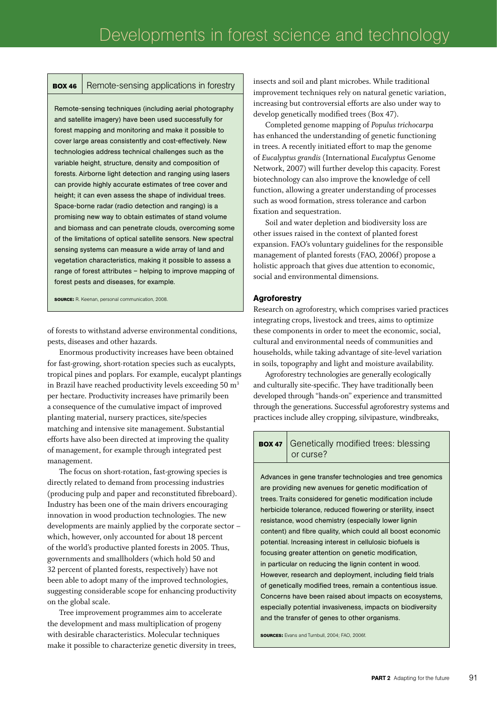#### **BOX 46** Remote-sensing applications in forestry

Remote-sensing techniques (including aerial photography and satellite imagery) have been used successfully for forest mapping and monitoring and make it possible to cover large areas consistently and cost-effectively. New technologies address technical challenges such as the variable height, structure, density and composition of forests. Airborne light detection and ranging using lasers can provide highly accurate estimates of tree cover and height; it can even assess the shape of individual trees. Space-borne radar (radio detection and ranging) is a promising new way to obtain estimates of stand volume and biomass and can penetrate clouds, overcoming some of the limitations of optical satellite sensors. New spectral sensing systems can measure a wide array of land and vegetation characteristics, making it possible to assess a range of forest attributes – helping to improve mapping of forest pests and diseases, for example.

**source:** R. Keenan, personal communication, 2008.

of forests to withstand adverse environmental conditions, pests, diseases and other hazards.

Enormous productivity increases have been obtained for fast-growing, short-rotation species such as eucalypts, tropical pines and poplars. For example, eucalypt plantings in Brazil have reached productivity levels exceeding 50  $m<sup>3</sup>$ per hectare. Productivity increases have primarily been a consequence of the cumulative impact of improved planting material, nursery practices, site/species matching and intensive site management. Substantial efforts have also been directed at improving the quality of management, for example through integrated pest management.

The focus on short-rotation, fast-growing species is directly related to demand from processing industries (producing pulp and paper and reconstituted fibreboard). Industry has been one of the main drivers encouraging innovation in wood production technologies. The new developments are mainly applied by the corporate sector – which, however, only accounted for about 18 percent of the world's productive planted forests in 2005. Thus, governments and smallholders (which hold 50 and 32 percent of planted forests, respectively) have not been able to adopt many of the improved technologies, suggesting considerable scope for enhancing productivity on the global scale.

Tree improvement programmes aim to accelerate the development and mass multiplication of progeny with desirable characteristics. Molecular techniques make it possible to characterize genetic diversity in trees, insects and soil and plant microbes. While traditional improvement techniques rely on natural genetic variation, increasing but controversial efforts are also under way to develop genetically modified trees (Box 47).

Completed genome mapping of *Populus trichocarpa* has enhanced the understanding of genetic functioning in trees. A recently initiated effort to map the genome of *Eucalyptus grandis* (International *Eucalyptus* Genome Network, 2007) will further develop this capacity. Forest biotechnology can also improve the knowledge of cell function, allowing a greater understanding of processes such as wood formation, stress tolerance and carbon fixation and sequestration.

Soil and water depletion and biodiversity loss are other issues raised in the context of planted forest expansion. FAO's voluntary guidelines for the responsible management of planted forests (FAO, 2006f) propose a holistic approach that gives due attention to economic, social and environmental dimensions.

#### **Agroforestry**

Research on agroforestry, which comprises varied practices integrating crops, livestock and trees, aims to optimize these components in order to meet the economic, social, cultural and environmental needs of communities and households, while taking advantage of site-level variation in soils, topography and light and moisture availability.

Agroforestry technologies are generally ecologically and culturally site-specific. They have traditionally been developed through "hands-on" experience and transmitted through the generations. Successful agroforestry systems and practices include alley cropping, silvipasture, windbreaks,

## **BOX 47** Genetically modified trees: blessing or curse?

Advances in gene transfer technologies and tree genomics are providing new avenues for genetic modification of trees. Traits considered for genetic modification include herbicide tolerance, reduced flowering or sterility, insect resistance, wood chemistry (especially lower lignin content) and fibre quality, which could all boost economic potential. Increasing interest in cellulosic biofuels is focusing greater attention on genetic modification, in particular on reducing the lignin content in wood. However, research and deployment, including field trials of genetically modified trees, remain a contentious issue. Concerns have been raised about impacts on ecosystems, especially potential invasiveness, impacts on biodiversity and the transfer of genes to other organisms.

**sources:** Evans and Turnbull, 2004; FAO, 2006f.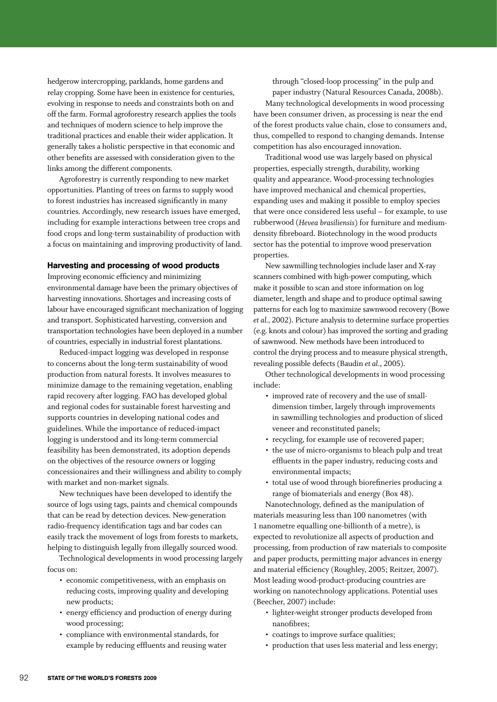hedgerow intercropping, parklands, home gardens and relay cropping. Some have been in existence for centuries, evolving in response to needs and constraints both on and off the farm. Formal agroforestry research applies the tools and techniques of modern science to help improve the traditional practices and enable their wider application. It generally takes a holistic perspective in that economic and other benefits are assessed with consideration given to the links among the different components.

Agroforestry is currently responding to new market opportunities. Planting of trees on farms to supply wood to forest industries has increased significantly in many countries. Accordingly, new research issues have emerged, including for example interactions between tree crops and food crops and long-term sustainability of production with a focus on maintaining and improving productivity of land.

#### Harvesting and processing of wood products

Improving economic efficiency and minimizing environmental damage have been the primary objectives of harvesting innovations. Shortages and increasing costs of labour have encouraged significant mechanization of logging and transport. Sophisticated harvesting, conversion and transportation technologies have been deployed in a number of countries, especially in industrial forest plantations.

Reduced-impact logging was developed in response to concerns about the long-term sustainability of wood production from natural forests. It involves measures to minimize damage to the remaining vegetation, enabling rapid recovery after logging. FAO has developed global and regional codes for sustainable forest harvesting and supports countries in developing national codes and guidelines. While the importance of reduced-impact logging is understood and its long-term commercial feasibility has been demonstrated, its adoption depends on the objectives of the resource owners or logging concessionaires and their willingness and ability to comply with market and non-market signals.

New techniques have been developed to identify the source of logs using tags, paints and chemical compounds that can be read by detection devices. New-generation radio-frequency identification tags and bar codes can easily track the movement of logs from forests to markets, helping to distinguish legally from illegally sourced wood.

Technological developments in wood processing largely focus on:

- • economic competitiveness, with an emphasis on reducing costs, improving quality and developing new products;
- energy efficiency and production of energy during wood processing;
- • compliance with environmental standards, for example by reducing effluents and reusing water

through "closed-loop processing" in the pulp and paper industry (Natural Resources Canada, 2008b). Many technological developments in wood processing have been consumer driven, as processing is near the end of the forest products value chain, close to consumers and, thus, compelled to respond to changing demands. Intense competition has also encouraged innovation.

Traditional wood use was largely based on physical properties, especially strength, durability, working quality and appearance. Wood-processing technologies have improved mechanical and chemical properties, expanding uses and making it possible to employ species that were once considered less useful – for example, to use rubberwood (*Hevea brasiliensis*) for furniture and mediumdensity fibreboard. Biotechnology in the wood products sector has the potential to improve wood preservation properties.

New sawmilling technologies include laser and X-ray scanners combined with high-power computing, which make it possible to scan and store information on log diameter, length and shape and to produce optimal sawing patterns for each log to maximize sawnwood recovery (Bowe *et al.,* 2002). Picture analysis to determine surface properties (e.g. knots and colour) has improved the sorting and grading of sawnwood. New methods have been introduced to control the drying process and to measure physical strength, revealing possible defects (Baudin *et al*., 2005).

Other technological developments in wood processing include:

- improved rate of recovery and the use of smalldimension timber, largely through improvements in sawmilling technologies and production of sliced veneer and reconstituted panels;
- recycling, for example use of recovered paper;
- the use of micro-organisms to bleach pulp and treat effluents in the paper industry, reducing costs and environmental impacts;
- total use of wood through biorefineries producing a range of biomaterials and energy (Box 48).

Nanotechnology, defined as the manipulation of materials measuring less than 100 nanometres (with 1 nanometre equalling one-billionth of a metre), is expected to revolutionize all aspects of production and processing, from production of raw materials to composite and paper products, permitting major advances in energy and material efficiency (Roughley, 2005; Reitzer, 2007). Most leading wood-product-producing countries are working on nanotechnology applications. Potential uses (Beecher, 2007) include:

- lighter-weight stronger products developed from nanofibres;
- coatings to improve surface qualities;
- production that uses less material and less energy;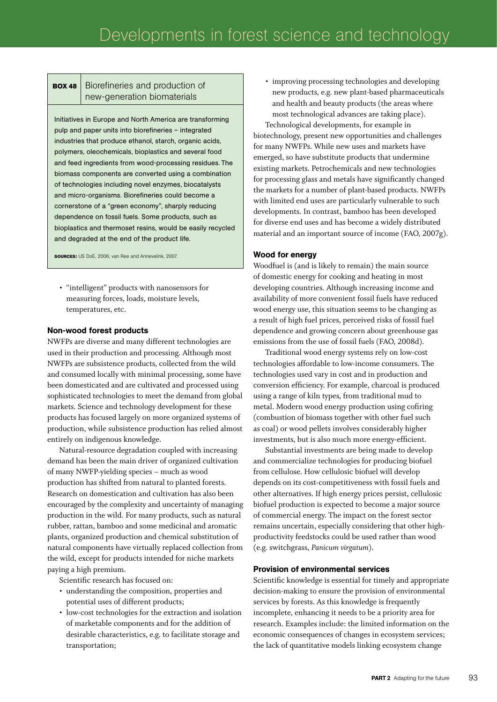## **BOX 48** Biorefineries and production of new-generation biomaterials

Initiatives in Europe and North America are transforming pulp and paper units into biorefineries – integrated industries that produce ethanol, starch, organic acids, polymers, oleochemicals, bioplastics and several food and feed ingredients from wood-processing residues. The biomass components are converted using a combination of technologies including novel enzymes, biocatalysts and micro-organisms. Biorefineries could become a cornerstone of a "green economy", sharply reducing dependence on fossil fuels. Some products, such as bioplastics and thermoset resins, would be easily recycled and degraded at the end of the product life.

**sources:** US DoE, 2006; van Ree and Annevelink, 2007.

• "intelligent" products with nanosensors for measuring forces, loads, moisture levels, temperatures, etc.

#### Non-wood forest products

NWFPs are diverse and many different technologies are used in their production and processing. Although most NWFPs are subsistence products, collected from the wild and consumed locally with minimal processing, some have been domesticated and are cultivated and processed using sophisticated technologies to meet the demand from global markets. Science and technology development for these products has focused largely on more organized systems of production, while subsistence production has relied almost entirely on indigenous knowledge.

Natural-resource degradation coupled with increasing demand has been the main driver of organized cultivation of many NWFP-yielding species – much as wood production has shifted from natural to planted forests. Research on domestication and cultivation has also been encouraged by the complexity and uncertainty of managing production in the wild. For many products, such as natural rubber, rattan, bamboo and some medicinal and aromatic plants, organized production and chemical substitution of natural components have virtually replaced collection from the wild, except for products intended for niche markets paying a high premium.

Scientific research has focused on:

- • understanding the composition, properties and potential uses of different products;
- low-cost technologies for the extraction and isolation of marketable components and for the addition of desirable characteristics, e.g. to facilitate storage and transportation;

• improving processing technologies and developing new products, e.g. new plant-based pharmaceuticals and health and beauty products (the areas where most technological advances are taking place).

Technological developments, for example in biotechnology, present new opportunities and challenges for many NWFPs. While new uses and markets have emerged, so have substitute products that undermine existing markets. Petrochemicals and new technologies for processing glass and metals have significantly changed the markets for a number of plant-based products. NWFPs with limited end uses are particularly vulnerable to such developments. In contrast, bamboo has been developed for diverse end uses and has become a widely distributed material and an important source of income (FAO, 2007g).

#### Wood for energy

Woodfuel is (and is likely to remain) the main source of domestic energy for cooking and heating in most developing countries. Although increasing income and availability of more convenient fossil fuels have reduced wood energy use, this situation seems to be changing as a result of high fuel prices, perceived risks of fossil fuel dependence and growing concern about greenhouse gas emissions from the use of fossil fuels (FAO, 2008d).

Traditional wood energy systems rely on low-cost technologies affordable to low-income consumers. The technologies used vary in cost and in production and conversion efficiency. For example, charcoal is produced using a range of kiln types, from traditional mud to metal. Modern wood energy production using cofiring (combustion of biomass together with other fuel such as coal) or wood pellets involves considerably higher investments, but is also much more energy-efficient.

Substantial investments are being made to develop and commercialize technologies for producing biofuel from cellulose. How cellulosic biofuel will develop depends on its cost-competitiveness with fossil fuels and other alternatives. If high energy prices persist, cellulosic biofuel production is expected to become a major source of commercial energy. The impact on the forest sector remains uncertain, especially considering that other highproductivity feedstocks could be used rather than wood (e.g. switchgrass, *Panicum virgatum*).

#### Provision of environmental services

Scientific knowledge is essential for timely and appropriate decision-making to ensure the provision of environmental services by forests. As this knowledge is frequently incomplete, enhancing it needs to be a priority area for research. Examples include: the limited information on the economic consequences of changes in ecosystem services; the lack of quantitative models linking ecosystem change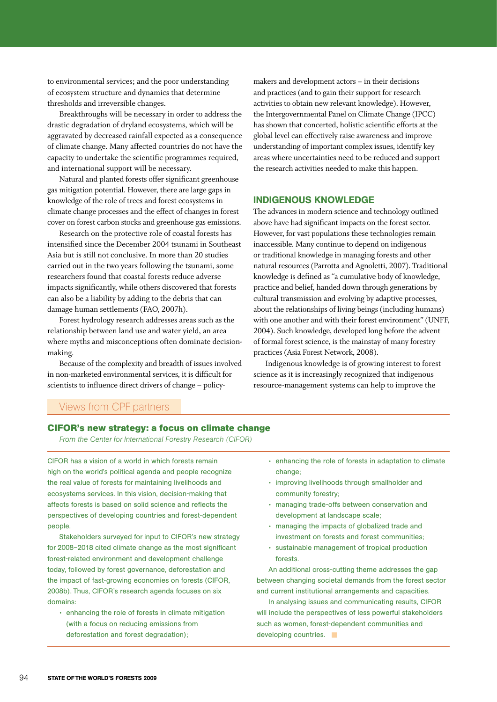to environmental services; and the poor understanding of ecosystem structure and dynamics that determine thresholds and irreversible changes.

Breakthroughs will be necessary in order to address the drastic degradation of dryland ecosystems, which will be aggravated by decreased rainfall expected as a consequence of climate change. Many affected countries do not have the capacity to undertake the scientific programmes required, and international support will be necessary.

Natural and planted forests offer significant greenhouse gas mitigation potential. However, there are large gaps in knowledge of the role of trees and forest ecosystems in climate change processes and the effect of changes in forest cover on forest carbon stocks and greenhouse gas emissions.

Research on the protective role of coastal forests has intensified since the December 2004 tsunami in Southeast Asia but is still not conclusive. In more than 20 studies carried out in the two years following the tsunami, some researchers found that coastal forests reduce adverse impacts significantly, while others discovered that forests can also be a liability by adding to the debris that can damage human settlements (FAO, 2007h).

Forest hydrology research addresses areas such as the relationship between land use and water yield, an area where myths and misconceptions often dominate decisionmaking.

Because of the complexity and breadth of issues involved in non-marketed environmental services, it is difficult for scientists to influence direct drivers of change – policymakers and development actors – in their decisions and practices (and to gain their support for research activities to obtain new relevant knowledge). However, the Intergovernmental Panel on Climate Change (IPCC) has shown that concerted, holistic scientific efforts at the global level can effectively raise awareness and improve understanding of important complex issues, identify key areas where uncertainties need to be reduced and support the research activities needed to make this happen.

#### Indigenous knowledge

The advances in modern science and technology outlined above have had significant impacts on the forest sector. However, for vast populations these technologies remain inaccessible. Many continue to depend on indigenous or traditional knowledge in managing forests and other natural resources (Parrotta and Agnoletti, 2007). Traditional knowledge is defined as "a cumulative body of knowledge, practice and belief, handed down through generations by cultural transmission and evolving by adaptive processes, about the relationships of living beings (including humans) with one another and with their forest environment" (UNFF, 2004). Such knowledge, developed long before the advent of formal forest science, is the mainstay of many forestry practices (Asia Forest Network, 2008).

Indigenous knowledge is of growing interest to forest science as it is increasingly recognized that indigenous resource-management systems can help to improve the

#### Views from CPF partners

#### **CIFOR's new strategy: a focus on climate change**

*From the Center for International Forestry Research (CIFOR)*

CIFOR has a vision of a world in which forests remain high on the world's political agenda and people recognize the real value of forests for maintaining livelihoods and ecosystems services. In this vision, decision-making that affects forests is based on solid science and reflects the perspectives of developing countries and forest-dependent people.

Stakeholders surveyed for input to CIFOR's new strategy for 2008–2018 cited climate change as the most significant forest-related environment and development challenge today, followed by forest governance, deforestation and the impact of fast-growing economies on forests (CIFOR, 2008b). Thus, CIFOR's research agenda focuses on six domains:

• enhancing the role of forests in climate mitigation (with a focus on reducing emissions from deforestation and forest degradation);

- enhancing the role of forests in adaptation to climate change;
- improving livelihoods through smallholder and community forestry;
- • managing trade-offs between conservation and development at landscape scale;
- • managing the impacts of globalized trade and investment on forests and forest communities;
- • sustainable management of tropical production forests.

An additional cross-cutting theme addresses the gap between changing societal demands from the forest sector and current institutional arrangements and capacities.

In analysing issues and communicating results, CIFOR will include the perspectives of less powerful stakeholders such as women, forest-dependent communities and developing countries.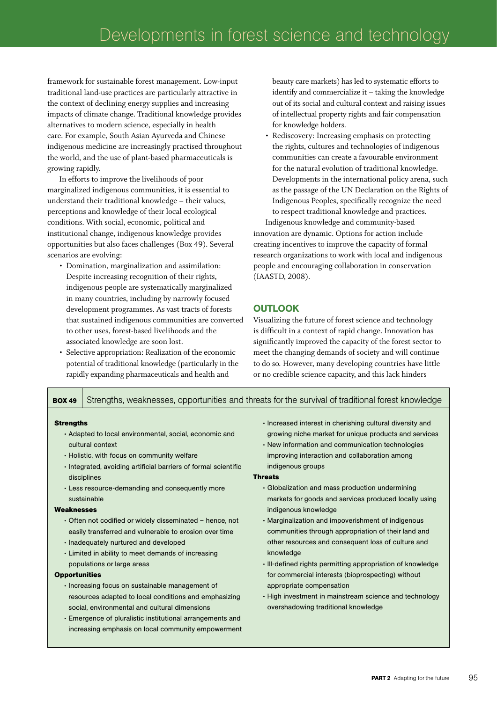framework for sustainable forest management. Low-input traditional land-use practices are particularly attractive in the context of declining energy supplies and increasing impacts of climate change. Traditional knowledge provides alternatives to modern science, especially in health care. For example, South Asian Ayurveda and Chinese indigenous medicine are increasingly practised throughout the world, and the use of plant-based pharmaceuticals is growing rapidly.

In efforts to improve the livelihoods of poor marginalized indigenous communities, it is essential to understand their traditional knowledge – their values, perceptions and knowledge of their local ecological conditions. With social, economic, political and institutional change, indigenous knowledge provides opportunities but also faces challenges (Box 49). Several scenarios are evolving:

- Domination, marginalization and assimilation: Despite increasing recognition of their rights, indigenous people are systematically marginalized in many countries, including by narrowly focused development programmes. As vast tracts of forests that sustained indigenous communities are converted to other uses, forest-based livelihoods and the associated knowledge are soon lost.
- Selective appropriation: Realization of the economic potential of traditional knowledge (particularly in the rapidly expanding pharmaceuticals and health and

beauty care markets) has led to systematic efforts to identify and commercialize it – taking the knowledge out of its social and cultural context and raising issues of intellectual property rights and fair compensation for knowledge holders.

• Rediscovery: Increasing emphasis on protecting the rights, cultures and technologies of indigenous communities can create a favourable environment for the natural evolution of traditional knowledge. Developments in the international policy arena, such as the passage of the UN Declaration on the Rights of Indigenous Peoples, specifically recognize the need to respect traditional knowledge and practices.

Indigenous knowledge and community-based innovation are dynamic. Options for action include creating incentives to improve the capacity of formal research organizations to work with local and indigenous people and encouraging collaboration in conservation (IAASTD, 2008).

## **OUTLOOK**

Visualizing the future of forest science and technology is difficult in a context of rapid change. Innovation has significantly improved the capacity of the forest sector to meet the changing demands of society and will continue to do so. However, many developing countries have little or no credible science capacity, and this lack hinders

**BOX 49** Strengths, weaknesses, opportunities and threats for the survival of traditional forest knowledge

#### **Strengths**

- • Adapted to local environmental, social, economic and cultural context
- • Holistic, with focus on community welfare
- • Integrated, avoiding artificial barriers of formal scientific disciplines
- • Less resource-demanding and consequently more sustainable

#### **Weaknesses**

- • Often not codified or widely disseminated hence, not easily transferred and vulnerable to erosion over time
- • Inadequately nurtured and developed
- • Limited in ability to meet demands of increasing populations or large areas

#### **Opportunities**

- • Increasing focus on sustainable management of resources adapted to local conditions and emphasizing social, environmental and cultural dimensions
- • Emergence of pluralistic institutional arrangements and increasing emphasis on local community empowerment
- • Increased interest in cherishing cultural diversity and growing niche market for unique products and services
- New information and communication technologies improving interaction and collaboration among indigenous groups

#### **Threats**

- • Globalization and mass production undermining markets for goods and services produced locally using indigenous knowledge
- • Marginalization and impoverishment of indigenous communities through appropriation of their land and other resources and consequent loss of culture and knowledge
- • Ill-defined rights permitting appropriation of knowledge for commercial interests (bioprospecting) without appropriate compensation
- High investment in mainstream science and technology overshadowing traditional knowledge